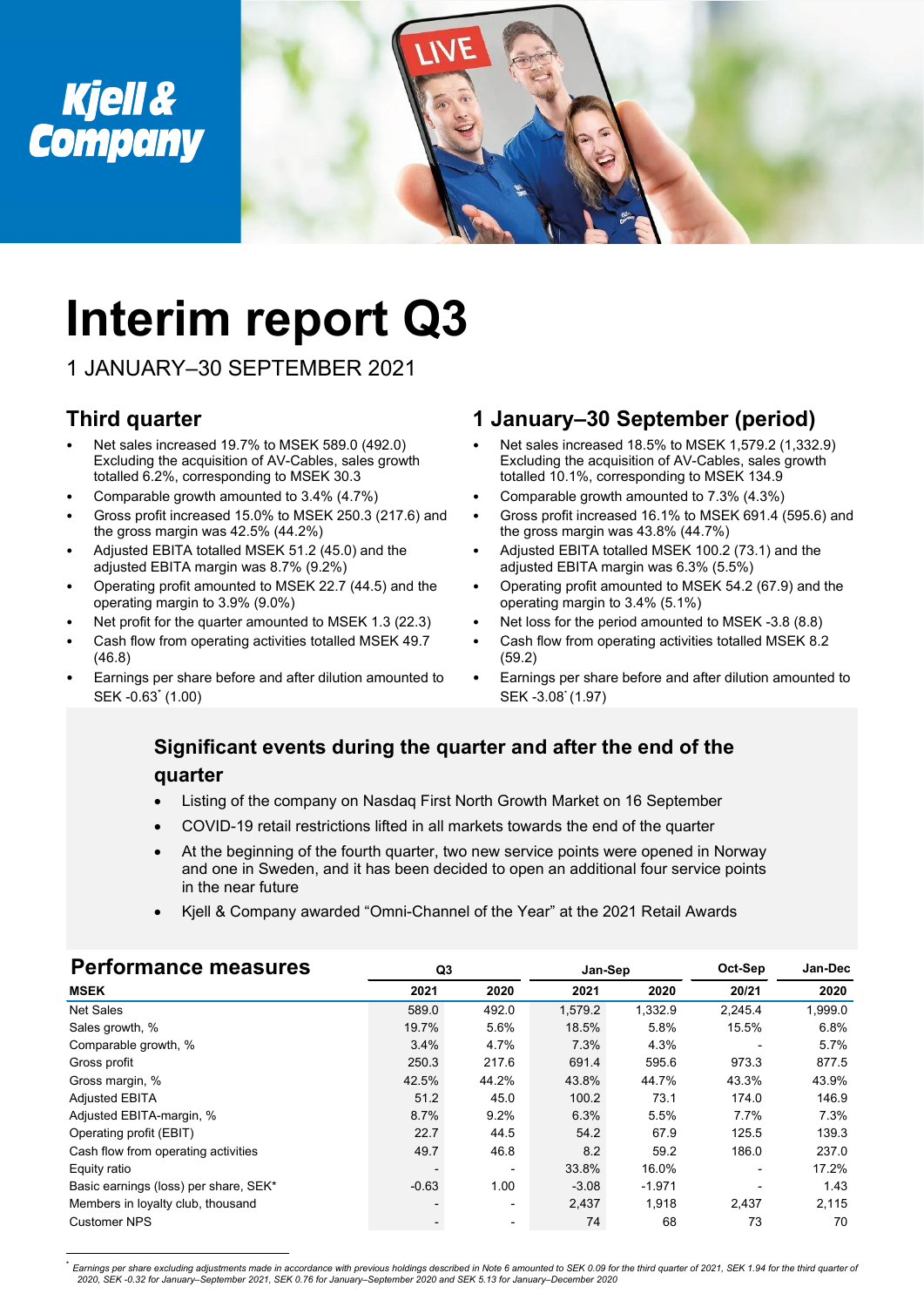

# **Interim report Q3**

1 JANUARY–30 SEPTEMBER 2021

### **Third quarter**

- Net sales increased 19.7% to MSEK 589.0 (492.0) Excluding the acquisition of AV-Cables, sales growth totalled 6.2%, corresponding to MSEK 30.3
- Comparable growth amounted to 3.4% (4.7%)
- Gross profit increased 15.0% to MSEK 250.3 (217.6) and the gross margin was 42.5% (44.2%)
- Adjusted EBITA totalled MSEK 51.2 (45.0) and the adjusted EBITA margin was 8.7% (9.2%)
- Operating profit amounted to MSEK 22.7 (44.5) and the operating margin to 3.9% (9.0%)
- Net profit for the quarter amounted to MSEK 1.3 (22.3)
- Cash flow from operating activities totalled MSEK 49.7 (46.8)
- Earnings per share before and after dilution amounted to SEK -0.63\* (1.00)

### **1 January–30 September (period)**

- Net sales increased 18.5% to MSEK 1,579.2 (1,332.9) Excluding the acquisition of AV-Cables, sales growth totalled 10.1%, corresponding to MSEK 134.9
- Comparable growth amounted to 7.3% (4.3%)
- Gross profit increased 16.1% to MSEK 691.4 (595.6) and the gross margin was 43.8% (44.7%)
- Adjusted EBITA totalled MSEK 100.2 (73.1) and the adjusted EBITA margin was 6.3% (5.5%)
- Operating profit amounted to MSEK 54.2 (67.9) and the operating margin to 3.4% (5.1%)
- Net loss for the period amounted to MSEK -3.8 (8.8)
- Cash flow from operating activities totalled MSEK 8.2 (59.2)
- Earnings per share before and after dilution amounted to SEK -3.08\* (1.97)

#### **Significant events during the quarter and after the end of the quarter**

- Listing of the company on Nasdaq First North Growth Market on 16 September
- COVID-19 retail restrictions lifted in all markets towards the end of the quarter
- At the beginning of the fourth quarter, two new service points were opened in Norway and one in Sweden, and it has been decided to open an additional four service points in the near future
- Kjell & Company awarded "Omni-Channel of the Year" at the 2021 Retail Awards

| <b>Performance measures</b>           | Q3      |                          | Jan-Sep |          | Oct-Sep | Jan-Dec |
|---------------------------------------|---------|--------------------------|---------|----------|---------|---------|
| <b>MSEK</b>                           | 2021    | 2020                     | 2021    | 2020     | 20/21   | 2020    |
| <b>Net Sales</b>                      | 589.0   | 492.0                    | 1,579.2 | 1,332.9  | 2,245.4 | 1,999.0 |
| Sales growth, %                       | 19.7%   | 5.6%                     | 18.5%   | 5.8%     | 15.5%   | 6.8%    |
| Comparable growth, %                  | 3.4%    | 4.7%                     | 7.3%    | 4.3%     |         | 5.7%    |
| Gross profit                          | 250.3   | 217.6                    | 691.4   | 595.6    | 973.3   | 877.5   |
| Gross margin, %                       | 42.5%   | 44.2%                    | 43.8%   | 44.7%    | 43.3%   | 43.9%   |
| <b>Adjusted EBITA</b>                 | 51.2    | 45.0                     | 100.2   | 73.1     | 174.0   | 146.9   |
| Adjusted EBITA-margin, %              | 8.7%    | 9.2%                     | 6.3%    | 5.5%     | 7.7%    | 7.3%    |
| Operating profit (EBIT)               | 22.7    | 44.5                     | 54.2    | 67.9     | 125.5   | 139.3   |
| Cash flow from operating activities   | 49.7    | 46.8                     | 8.2     | 59.2     | 186.0   | 237.0   |
| Equity ratio                          |         | $\overline{\phantom{a}}$ | 33.8%   | 16.0%    |         | 17.2%   |
| Basic earnings (loss) per share, SEK* | $-0.63$ | 1.00                     | $-3.08$ | $-1.971$ |         | 1.43    |
| Members in loyalty club, thousand     |         | $\blacksquare$           | 2,437   | 1,918    | 2,437   | 2,115   |
| <b>Customer NPS</b>                   |         | $\blacksquare$           | 74      | 68       | 73      | 70      |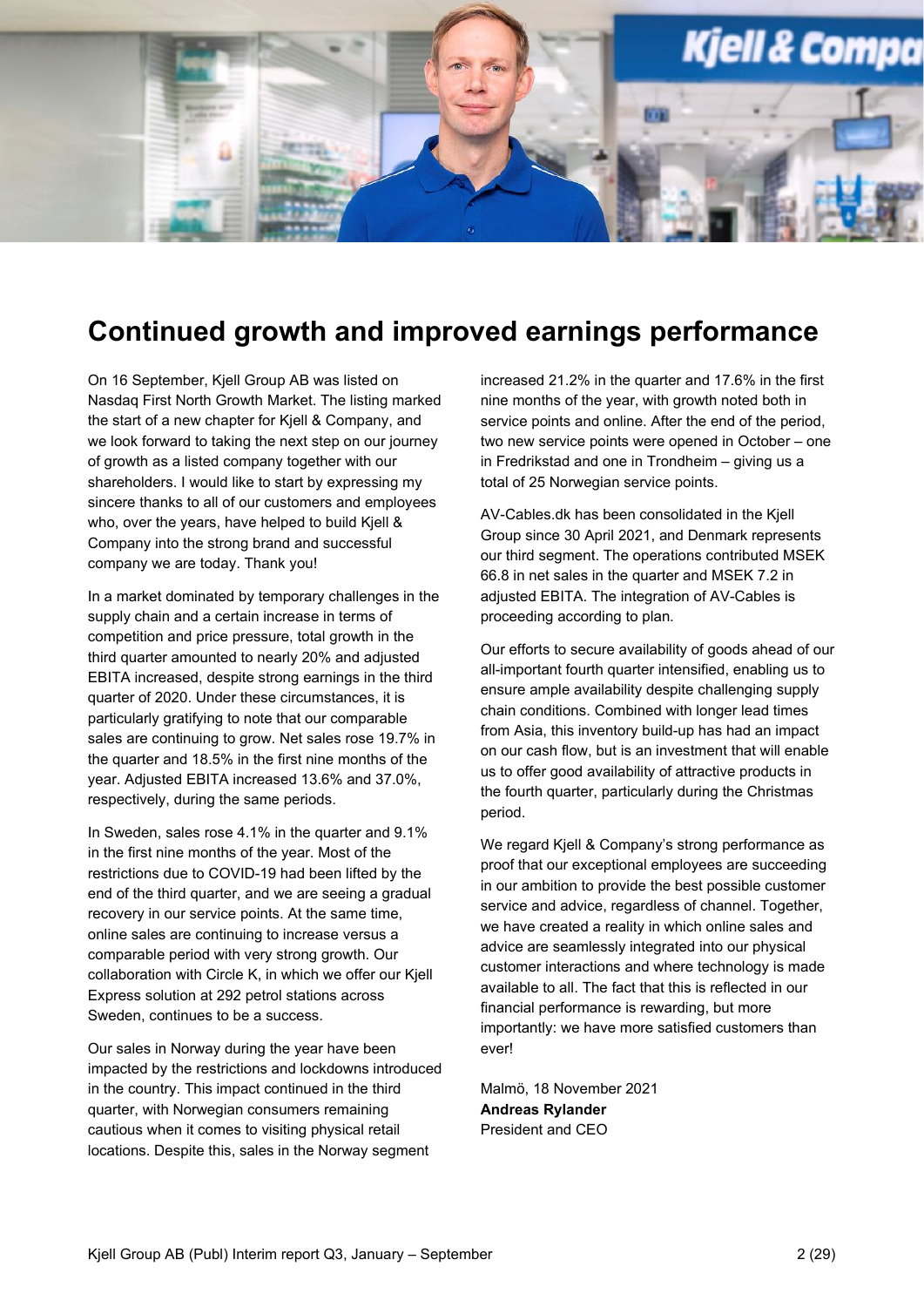

### **Continued growth and improved earnings performance**

On 16 September, Kjell Group AB was listed on Nasdaq First North Growth Market. The listing marked the start of a new chapter for Kjell & Company, and we look forward to taking the next step on our journey of growth as a listed company together with our shareholders. I would like to start by expressing my sincere thanks to all of our customers and employees who, over the years, have helped to build Kiell & Company into the strong brand and successful company we are today. Thank you!

In a market dominated by temporary challenges in the supply chain and a certain increase in terms of competition and price pressure, total growth in the third quarter amounted to nearly 20% and adjusted EBITA increased, despite strong earnings in the third quarter of 2020. Under these circumstances, it is particularly gratifying to note that our comparable sales are continuing to grow. Net sales rose 19.7% in the quarter and 18.5% in the first nine months of the year. Adjusted EBITA increased 13.6% and 37.0%, respectively, during the same periods.

In Sweden, sales rose 4.1% in the quarter and 9.1% in the first nine months of the year. Most of the restrictions due to COVID-19 had been lifted by the end of the third quarter, and we are seeing a gradual recovery in our service points. At the same time, online sales are continuing to increase versus a comparable period with very strong growth. Our collaboration with Circle K, in which we offer our Kjell Express solution at 292 petrol stations across Sweden, continues to be a success.

Our sales in Norway during the year have been impacted by the restrictions and lockdowns introduced in the country. This impact continued in the third quarter, with Norwegian consumers remaining cautious when it comes to visiting physical retail locations. Despite this, sales in the Norway segment

increased 21.2% in the quarter and 17.6% in the first nine months of the year, with growth noted both in service points and online. After the end of the period, two new service points were opened in October – one in Fredrikstad and one in Trondheim – giving us a total of 25 Norwegian service points.

AV-Cables.dk has been consolidated in the Kjell Group since 30 April 2021, and Denmark represents our third segment. The operations contributed MSEK 66.8 in net sales in the quarter and MSEK 7.2 in adjusted EBITA. The integration of AV-Cables is proceeding according to plan.

Our efforts to secure availability of goods ahead of our all-important fourth quarter intensified, enabling us to ensure ample availability despite challenging supply chain conditions. Combined with longer lead times from Asia, this inventory build-up has had an impact on our cash flow, but is an investment that will enable us to offer good availability of attractive products in the fourth quarter, particularly during the Christmas period.

We regard Kiell & Company's strong performance as proof that our exceptional employees are succeeding in our ambition to provide the best possible customer service and advice, regardless of channel. Together, we have created a reality in which online sales and advice are seamlessly integrated into our physical customer interactions and where technology is made available to all. The fact that this is reflected in our financial performance is rewarding, but more importantly: we have more satisfied customers than ever!

Malmö, 18 November 2021 **Andreas Rylander** President and CEO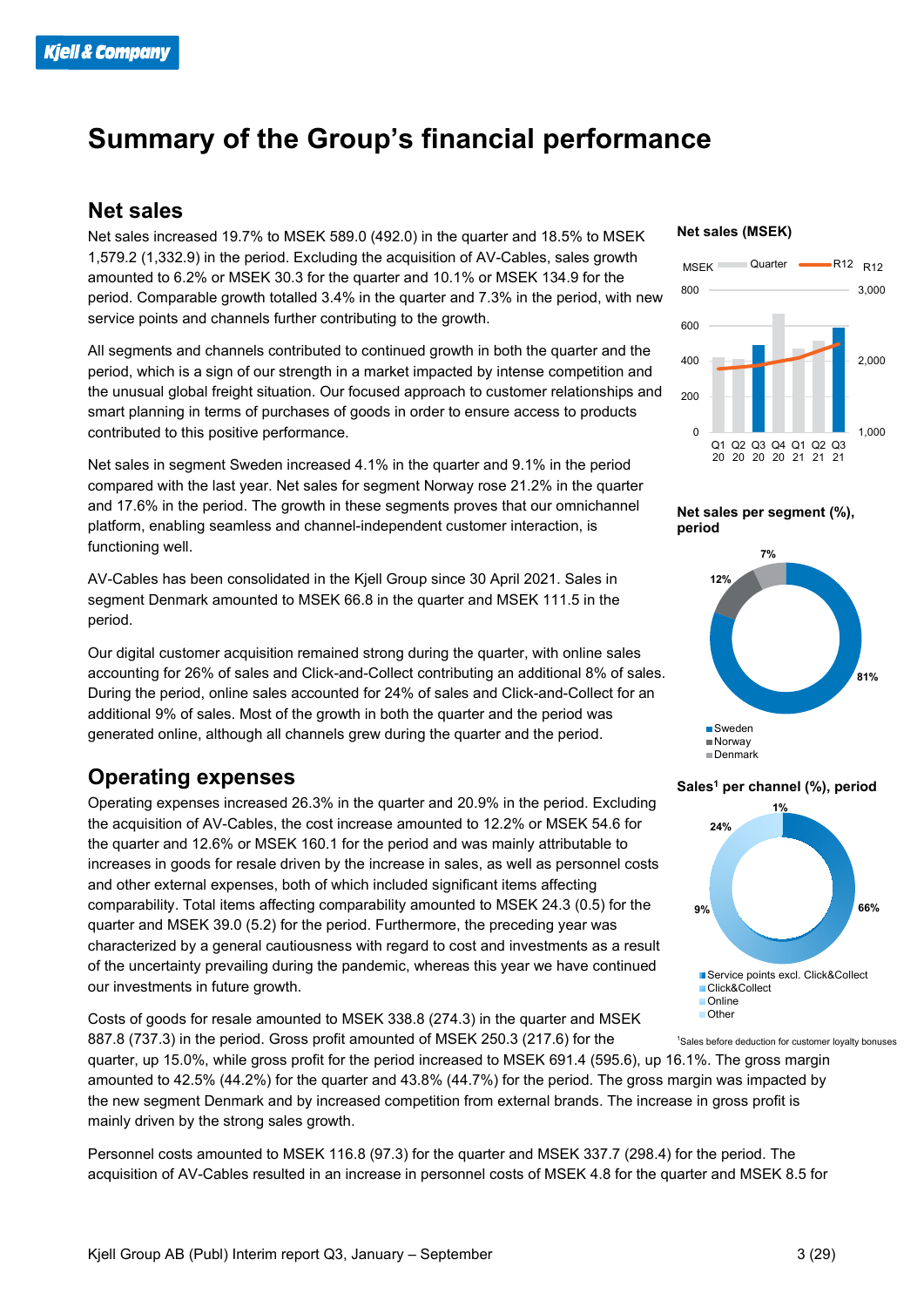### **Summary of the Group's financial performance**

#### **Net sales**

Net sales increased 19.7% to MSEK 589.0 (492.0) in the quarter and 18.5% to MSEK 1,579.2 (1,332.9) in the period. Excluding the acquisition of AV-Cables, sales growth amounted to 6.2% or MSEK 30.3 for the quarter and 10.1% or MSEK 134.9 for the period. Comparable growth totalled 3.4% in the quarter and 7.3% in the period, with new service points and channels further contributing to the growth.

All segments and channels contributed to continued growth in both the quarter and the period, which is a sign of our strength in a market impacted by intense competition and the unusual global freight situation. Our focused approach to customer relationships and smart planning in terms of purchases of goods in order to ensure access to products contributed to this positive performance.

Net sales in segment Sweden increased 4.1% in the quarter and 9.1% in the period compared with the last year. Net sales for segment Norway rose 21.2% in the quarter and 17.6% in the period. The growth in these segments proves that our omnichannel platform, enabling seamless and channel-independent customer interaction, is functioning well.

AV-Cables has been consolidated in the Kjell Group since 30 April 2021. Sales in segment Denmark amounted to MSEK 66.8 in the quarter and MSEK 111.5 in the period.

Our digital customer acquisition remained strong during the quarter, with online sales accounting for 26% of sales and Click-and-Collect contributing an additional 8% of sales. During the period, online sales accounted for 24% of sales and Click-and-Collect for an additional 9% of sales. Most of the growth in both the quarter and the period was generated online, although all channels grew during the quarter and the period.

### **Operating expenses**

Operating expenses increased 26.3% in the quarter and 20.9% in the period. Excluding the acquisition of AV-Cables, the cost increase amounted to 12.2% or MSEK 54.6 for the quarter and 12.6% or MSEK 160.1 for the period and was mainly attributable to increases in goods for resale driven by the increase in sales, as well as personnel costs and other external expenses, both of which included significant items affecting comparability. Total items affecting comparability amounted to MSEK 24.3 (0.5) for the quarter and MSEK 39.0 (5.2) for the period. Furthermore, the preceding year was characterized by a general cautiousness with regard to cost and investments as a result of the uncertainty prevailing during the pandemic, whereas this year we have continued our investments in future growth.

Costs of goods for resale amounted to MSEK 338.8 (274.3) in the quarter and MSEK 887.8 (737.3) in the period. Gross profit amounted of MSEK 250.3 (217.6) for the

quarter, up 15.0%, while gross profit for the period increased to MSEK 691.4 (595.6), up 16.1%. The gross margin amounted to 42.5% (44.2%) for the quarter and 43.8% (44.7%) for the period. The gross margin was impacted by the new segment Denmark and by increased competition from external brands. The increase in gross profit is mainly driven by the strong sales growth.

Personnel costs amounted to MSEK 116.8 (97.3) for the quarter and MSEK 337.7 (298.4) for the period. The acquisition of AV-Cables resulted in an increase in personnel costs of MSEK 4.8 for the quarter and MSEK 8.5 for

#### **Net sales (MSEK)**



**Net sales per segment (%), period**



#### **Sales1 per channel (%), period**



1 Sales before deduction for customer loyalty bonuses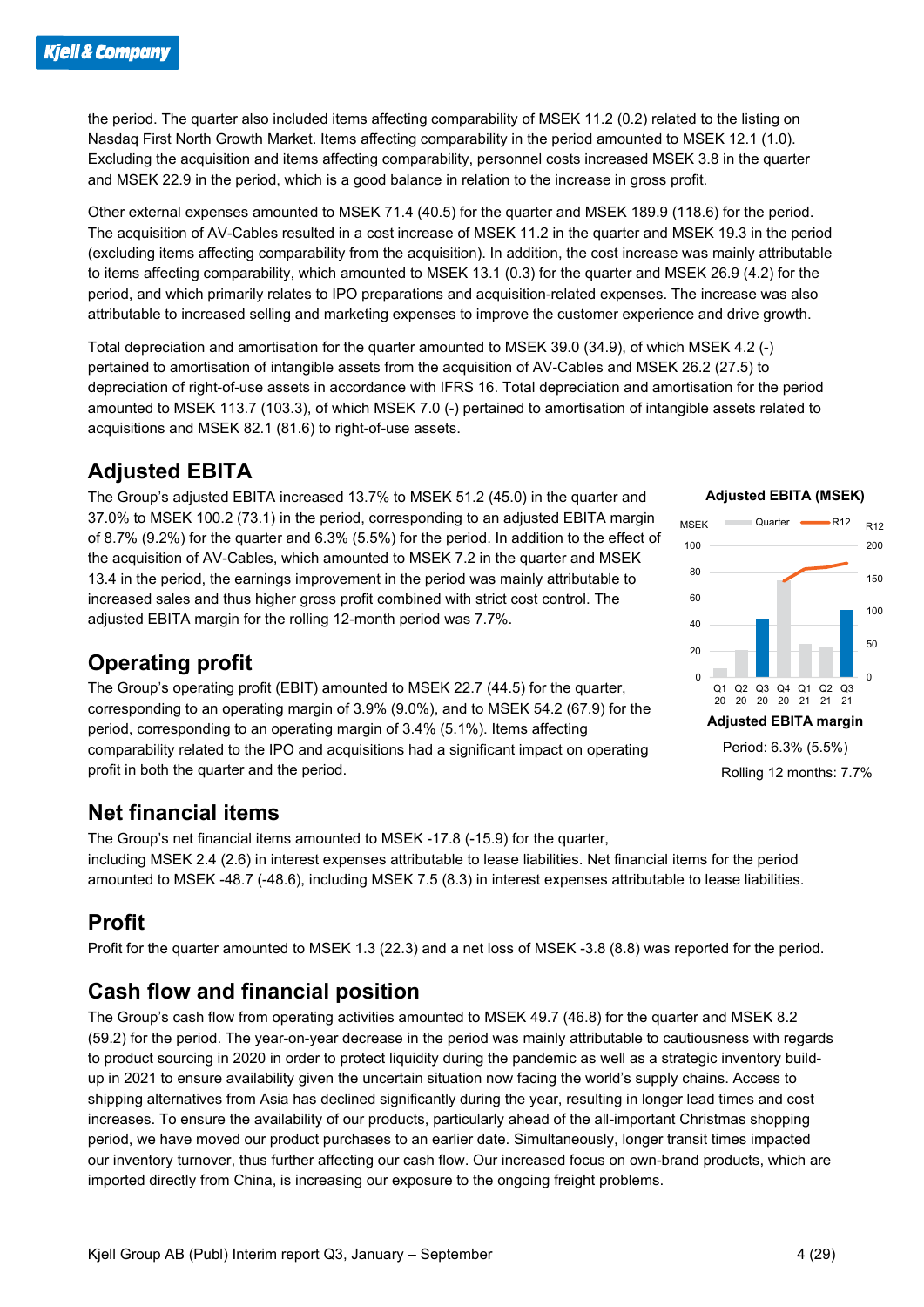the period. The quarter also included items affecting comparability of MSEK 11.2 (0.2) related to the listing on Nasdaq First North Growth Market. Items affecting comparability in the period amounted to MSEK 12.1 (1.0). Excluding the acquisition and items affecting comparability, personnel costs increased MSEK 3.8 in the quarter and MSEK 22.9 in the period, which is a good balance in relation to the increase in gross profit.

Other external expenses amounted to MSEK 71.4 (40.5) for the quarter and MSEK 189.9 (118.6) for the period. The acquisition of AV-Cables resulted in a cost increase of MSEK 11.2 in the quarter and MSEK 19.3 in the period (excluding items affecting comparability from the acquisition). In addition, the cost increase was mainly attributable to items affecting comparability, which amounted to MSEK 13.1 (0.3) for the quarter and MSEK 26.9 (4.2) for the period, and which primarily relates to IPO preparations and acquisition-related expenses. The increase was also attributable to increased selling and marketing expenses to improve the customer experience and drive growth.

Total depreciation and amortisation for the quarter amounted to MSEK 39.0 (34.9), of which MSEK 4.2 (-) pertained to amortisation of intangible assets from the acquisition of AV-Cables and MSEK 26.2 (27.5) to depreciation of right-of-use assets in accordance with IFRS 16. Total depreciation and amortisation for the period amounted to MSEK 113.7 (103.3), of which MSEK 7.0 (-) pertained to amortisation of intangible assets related to acquisitions and MSEK 82.1 (81.6) to right-of-use assets.

### **Adjusted EBITA**

The Group's adjusted EBITA increased 13.7% to MSEK 51.2 (45.0) in the quarter and 37.0% to MSEK 100.2 (73.1) in the period, corresponding to an adjusted EBITA margin of 8.7% (9.2%) for the quarter and 6.3% (5.5%) for the period. In addition to the effect of the acquisition of AV-Cables, which amounted to MSEK 7.2 in the quarter and MSEK 13.4 in the period, the earnings improvement in the period was mainly attributable to increased sales and thus higher gross profit combined with strict cost control. The adjusted EBITA margin for the rolling 12-month period was 7.7%.

### **Operating profit**

The Group's operating profit (EBIT) amounted to MSEK 22.7 (44.5) for the quarter, corresponding to an operating margin of 3.9% (9.0%), and to MSEK 54.2 (67.9) for the period, corresponding to an operating margin of 3.4% (5.1%). Items affecting comparability related to the IPO and acquisitions had a significant impact on operating profit in both the quarter and the period.

### **Net financial items**

The Group's net financial items amounted to MSEK -17.8 (-15.9) for the quarter, including MSEK 2.4 (2.6) in interest expenses attributable to lease liabilities. Net financial items for the period amounted to MSEK -48.7 (-48.6), including MSEK 7.5 (8.3) in interest expenses attributable to lease liabilities.

### **Profit**

Profit for the quarter amounted to MSEK 1.3 (22.3) and a net loss of MSEK -3.8 (8.8) was reported for the period.

### **Cash flow and financial position**

The Group's cash flow from operating activities amounted to MSEK 49.7 (46.8) for the quarter and MSEK 8.2 (59.2) for the period. The year-on-year decrease in the period was mainly attributable to cautiousness with regards to product sourcing in 2020 in order to protect liquidity during the pandemic as well as a strategic inventory buildup in 2021 to ensure availability given the uncertain situation now facing the world's supply chains. Access to shipping alternatives from Asia has declined significantly during the year, resulting in longer lead times and cost increases. To ensure the availability of our products, particularly ahead of the all-important Christmas shopping period, we have moved our product purchases to an earlier date. Simultaneously, longer transit times impacted our inventory turnover, thus further affecting our cash flow. Our increased focus on own-brand products, which are imported directly from China, is increasing our exposure to the ongoing freight problems.

#### **Adjusted EBITA (MSEK)**

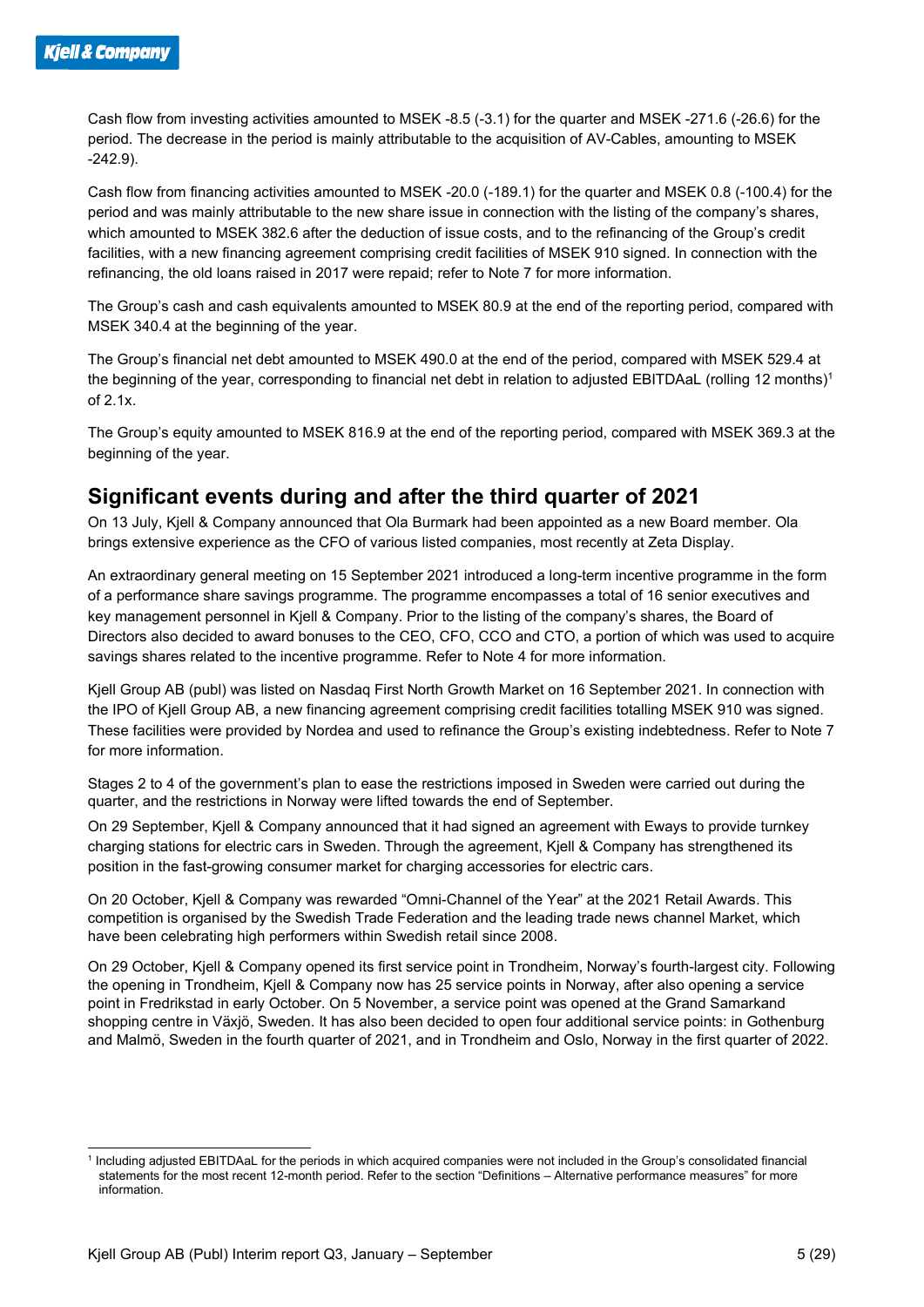Cash flow from investing activities amounted to MSEK -8.5 (-3.1) for the quarter and MSEK -271.6 (-26.6) for the period. The decrease in the period is mainly attributable to the acquisition of AV-Cables, amounting to MSEK -242.9).

Cash flow from financing activities amounted to MSEK -20.0 (-189.1) for the quarter and MSEK 0.8 (-100.4) for the period and was mainly attributable to the new share issue in connection with the listing of the company's shares, which amounted to MSEK 382.6 after the deduction of issue costs, and to the refinancing of the Group's credit facilities, with a new financing agreement comprising credit facilities of MSEK 910 signed. In connection with the refinancing, the old loans raised in 2017 were repaid; refer to Note 7 for more information.

The Group's cash and cash equivalents amounted to MSEK 80.9 at the end of the reporting period, compared with MSEK 340.4 at the beginning of the year.

The Group's financial net debt amounted to MSEK 490.0 at the end of the period, compared with MSEK 529.4 at the beginning of the year, corresponding to financial net debt in relation to adjusted EBITDAaL (rolling 12 months)<sup>1</sup> of 2.1x.

The Group's equity amounted to MSEK 816.9 at the end of the reporting period, compared with MSEK 369.3 at the beginning of the year.

#### **Significant events during and after the third quarter of 2021**

On 13 July, Kjell & Company announced that Ola Burmark had been appointed as a new Board member. Ola brings extensive experience as the CFO of various listed companies, most recently at Zeta Display.

An extraordinary general meeting on 15 September 2021 introduced a long-term incentive programme in the form of a performance share savings programme. The programme encompasses a total of 16 senior executives and key management personnel in Kjell & Company. Prior to the listing of the company's shares, the Board of Directors also decided to award bonuses to the CEO, CFO, CCO and CTO, a portion of which was used to acquire savings shares related to the incentive programme. Refer to Note 4 for more information.

Kjell Group AB (publ) was listed on Nasdaq First North Growth Market on 16 September 2021. In connection with the IPO of Kjell Group AB, a new financing agreement comprising credit facilities totalling MSEK 910 was signed. These facilities were provided by Nordea and used to refinance the Group's existing indebtedness. Refer to Note 7 for more information.

Stages 2 to 4 of the government's plan to ease the restrictions imposed in Sweden were carried out during the quarter, and the restrictions in Norway were lifted towards the end of September.

On 29 September, Kjell & Company announced that it had signed an agreement with Eways to provide turnkey charging stations for electric cars in Sweden. Through the agreement, Kjell & Company has strengthened its position in the fast-growing consumer market for charging accessories for electric cars.

On 20 October, Kjell & Company was rewarded "Omni-Channel of the Year" at the 2021 Retail Awards. This competition is organised by the Swedish Trade Federation and the leading trade news channel Market, which have been celebrating high performers within Swedish retail since 2008.

On 29 October, Kjell & Company opened its first service point in Trondheim, Norway's fourth-largest city. Following the opening in Trondheim, Kjell & Company now has 25 service points in Norway, after also opening a service point in Fredrikstad in early October. On 5 November, a service point was opened at the Grand Samarkand shopping centre in Växjö, Sweden. It has also been decided to open four additional service points: in Gothenburg and Malmö, Sweden in the fourth quarter of 2021, and in Trondheim and Oslo, Norway in the first quarter of 2022.

<sup>1</sup> Including adjusted EBITDAaL for the periods in which acquired companies were not included in the Group's consolidated financial statements for the most recent 12-month period. Refer to the section "Definitions – Alternative performance measures" for more information.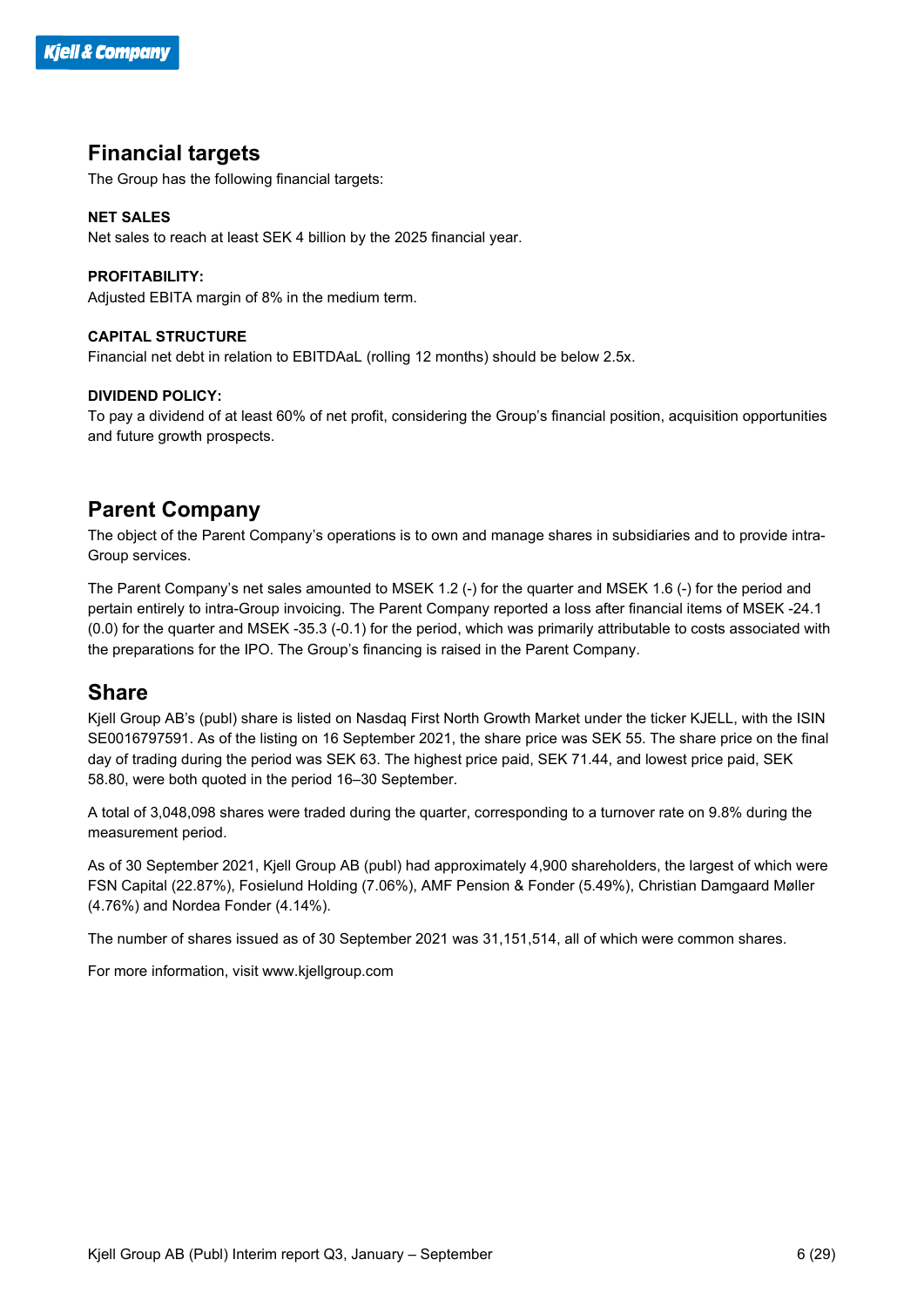#### **Financial targets**

The Group has the following financial targets:

#### **NET SALES**

Net sales to reach at least SEK 4 billion by the 2025 financial year.

#### **PROFITABILITY:**

Adjusted EBITA margin of 8% in the medium term.

#### **CAPITAL STRUCTURE**

Financial net debt in relation to EBITDAaL (rolling 12 months) should be below 2.5x.

#### **DIVIDEND POLICY:**

To pay a dividend of at least 60% of net profit, considering the Group's financial position, acquisition opportunities and future growth prospects.

#### **Parent Company**

The object of the Parent Company's operations is to own and manage shares in subsidiaries and to provide intra-Group services.

The Parent Company's net sales amounted to MSEK 1.2 (-) for the quarter and MSEK 1.6 (-) for the period and pertain entirely to intra-Group invoicing. The Parent Company reported a loss after financial items of MSEK -24.1 (0.0) for the quarter and MSEK -35.3 (-0.1) for the period, which was primarily attributable to costs associated with the preparations for the IPO. The Group's financing is raised in the Parent Company.

#### **Share**

Kjell Group AB's (publ) share is listed on Nasdaq First North Growth Market under the ticker KJELL, with the ISIN SE0016797591. As of the listing on 16 September 2021, the share price was SEK 55. The share price on the final day of trading during the period was SEK 63. The highest price paid, SEK 71.44, and lowest price paid, SEK 58.80, were both quoted in the period 16–30 September.

A total of 3,048,098 shares were traded during the quarter, corresponding to a turnover rate on 9.8% during the measurement period.

As of 30 September 2021, Kjell Group AB (publ) had approximately 4,900 shareholders, the largest of which were FSN Capital (22.87%), Fosielund Holding (7.06%), AMF Pension & Fonder (5.49%), Christian Damgaard Møller (4.76%) and Nordea Fonder (4.14%).

The number of shares issued as of 30 September 2021 was 31,151,514, all of which were common shares.

For more information, visit www.kjellgroup.com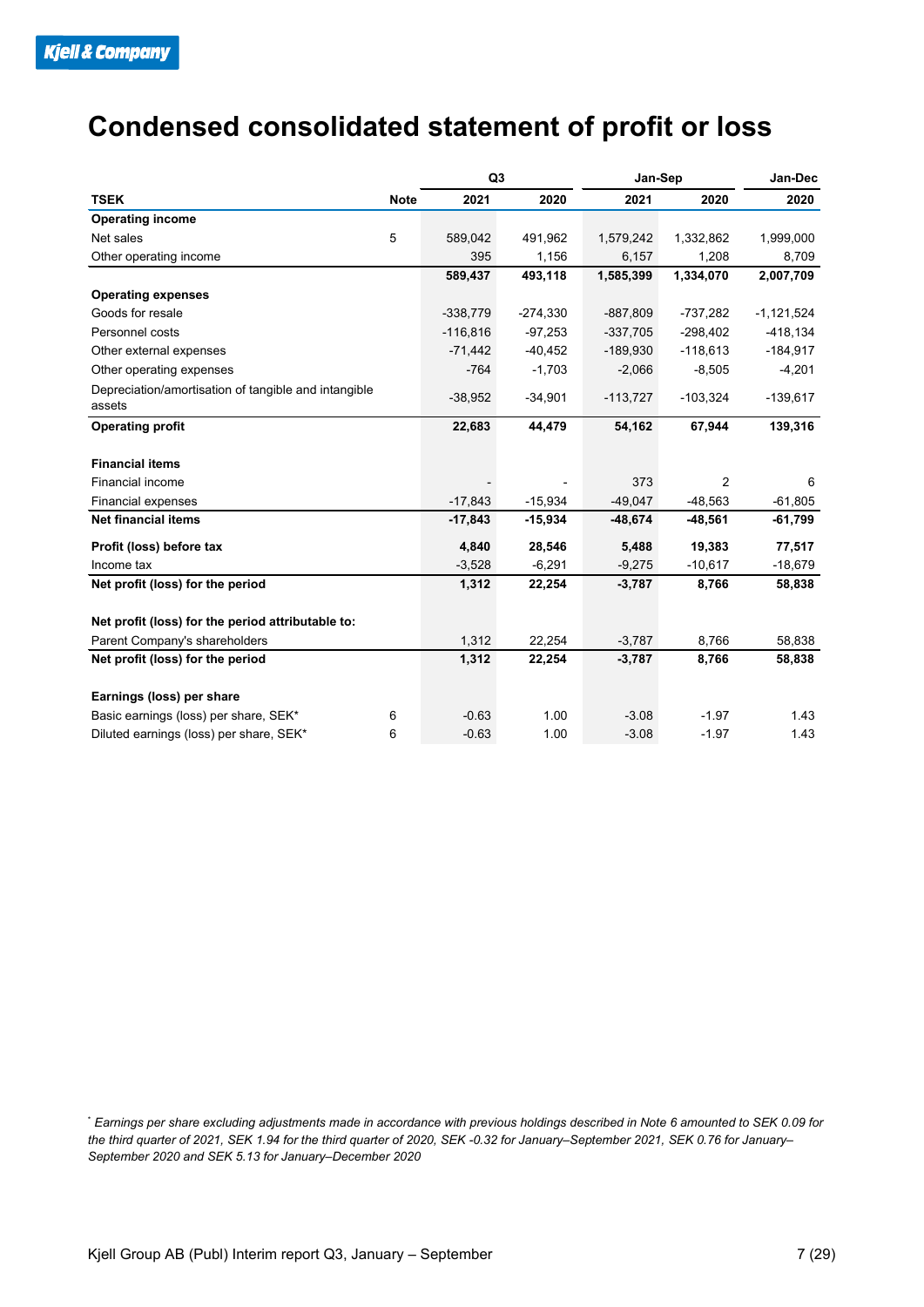### **Condensed consolidated statement of profit or loss**

|                                                                |             | Q <sub>3</sub> |            | Jan-Sep    | Jan-Dec        |              |
|----------------------------------------------------------------|-------------|----------------|------------|------------|----------------|--------------|
| <b>TSEK</b>                                                    | <b>Note</b> | 2021           | 2020       | 2021       | 2020           | 2020         |
| <b>Operating income</b>                                        |             |                |            |            |                |              |
| Net sales                                                      | 5           | 589,042        | 491,962    | 1,579,242  | 1,332,862      | 1,999,000    |
| Other operating income                                         |             | 395            | 1,156      | 6,157      | 1,208          | 8,709        |
|                                                                |             | 589,437        | 493,118    | 1,585,399  | 1.334.070      | 2,007,709    |
| <b>Operating expenses</b>                                      |             |                |            |            |                |              |
| Goods for resale                                               |             | $-338,779$     | $-274,330$ | $-887,809$ | $-737,282$     | $-1,121,524$ |
| Personnel costs                                                |             | $-116,816$     | $-97,253$  | $-337,705$ | $-298,402$     | $-418,134$   |
| Other external expenses                                        |             | $-71,442$      | $-40,452$  | $-189,930$ | $-118,613$     | $-184,917$   |
| Other operating expenses                                       |             | $-764$         | $-1,703$   | $-2,066$   | $-8,505$       | $-4,201$     |
| Depreciation/amortisation of tangible and intangible<br>assets |             | $-38,952$      | $-34,901$  | $-113,727$ | $-103,324$     | $-139,617$   |
| <b>Operating profit</b>                                        |             | 22,683         | 44,479     | 54,162     | 67,944         | 139,316      |
| <b>Financial items</b>                                         |             |                |            |            |                |              |
| Financial income                                               |             |                |            | 373        | $\overline{2}$ | 6            |
| <b>Financial expenses</b>                                      |             | $-17,843$      | $-15,934$  | $-49,047$  | $-48,563$      | $-61,805$    |
| <b>Net financial items</b>                                     |             | $-17,843$      | $-15,934$  | $-48,674$  | $-48,561$      | -61,799      |
| Profit (loss) before tax                                       |             | 4,840          | 28,546     | 5,488      | 19,383         | 77,517       |
| Income tax                                                     |             | $-3,528$       | $-6,291$   | $-9,275$   | $-10,617$      | $-18,679$    |
| Net profit (loss) for the period                               |             | 1,312          | 22,254     | $-3,787$   | 8,766          | 58,838       |
| Net profit (loss) for the period attributable to:              |             |                |            |            |                |              |
| Parent Company's shareholders                                  |             | 1,312          | 22,254     | $-3,787$   | 8,766          | 58,838       |
| Net profit (loss) for the period                               |             | 1,312          | 22,254     | $-3,787$   | 8,766          | 58,838       |
| Earnings (loss) per share                                      |             |                |            |            |                |              |
| Basic earnings (loss) per share, SEK*                          | 6           | $-0.63$        | 1.00       | $-3.08$    | $-1.97$        | 1.43         |
| Diluted earnings (loss) per share, SEK*                        | 6           | $-0.63$        | 1.00       | $-3.08$    | $-1.97$        | 1.43         |

\* *Earnings per share excluding adjustments made in accordance with previous holdings described in Note 6 amounted to SEK 0.09 for the third quarter of 2021, SEK 1.94 for the third quarter of 2020, SEK -0.32 for January–September 2021, SEK 0.76 for January– September 2020 and SEK 5.13 for January–December 2020*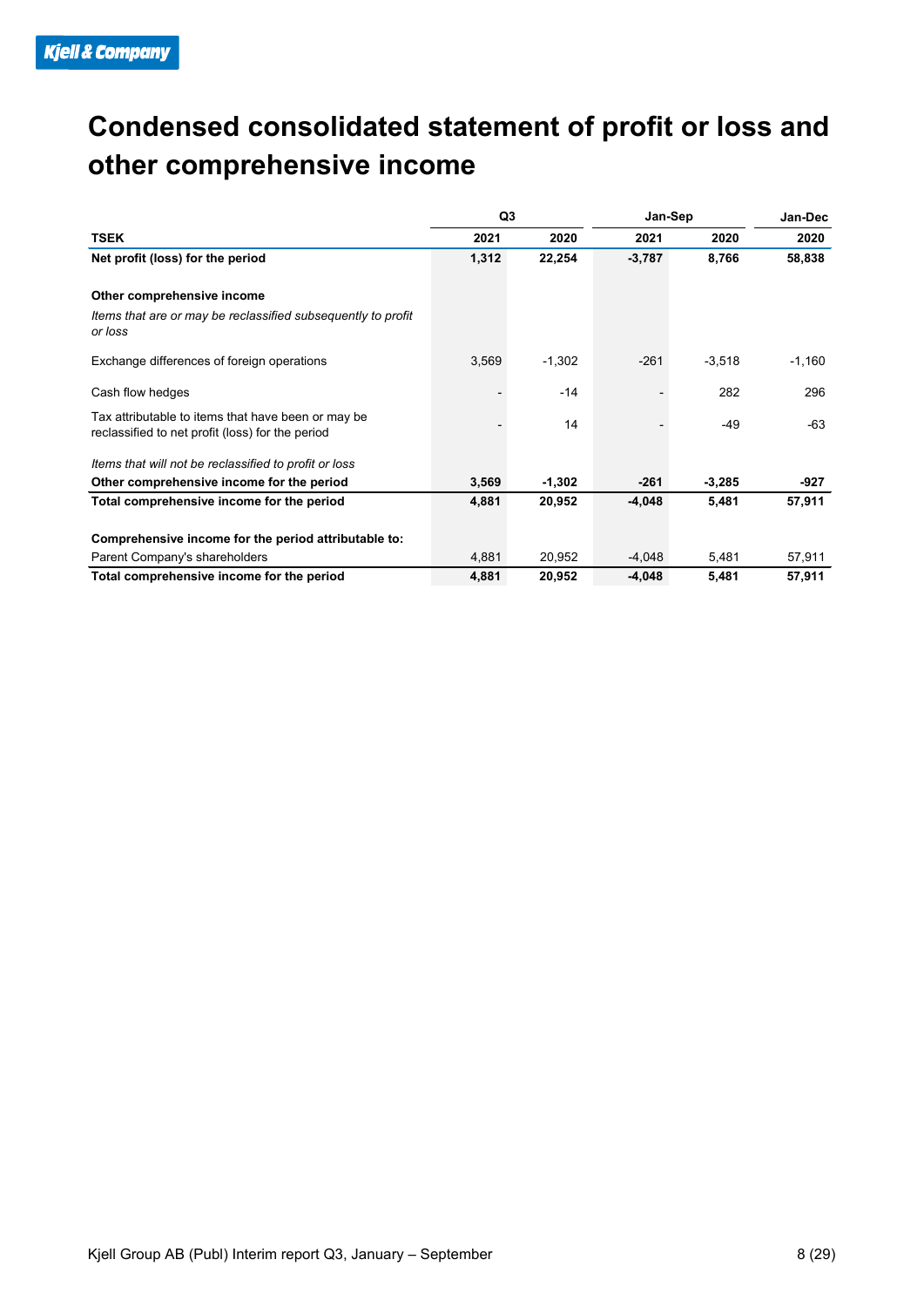### **Condensed consolidated statement of profit or loss and other comprehensive income**

|                                                                                                        | Q3    |          | Jan-Sep  | Jan-Dec  |          |
|--------------------------------------------------------------------------------------------------------|-------|----------|----------|----------|----------|
| <b>TSEK</b>                                                                                            | 2021  | 2020     | 2021     | 2020     | 2020     |
| Net profit (loss) for the period                                                                       | 1,312 | 22,254   | $-3,787$ | 8,766    | 58,838   |
| Other comprehensive income                                                                             |       |          |          |          |          |
| Items that are or may be reclassified subsequently to profit<br>or loss                                |       |          |          |          |          |
| Exchange differences of foreign operations                                                             | 3,569 | $-1,302$ | $-261$   | $-3,518$ | $-1,160$ |
| Cash flow hedges                                                                                       |       | $-14$    |          | 282      | 296      |
| Tax attributable to items that have been or may be<br>reclassified to net profit (loss) for the period |       | 14       |          | $-49$    | -63      |
| Items that will not be reclassified to profit or loss                                                  |       |          |          |          |          |
| Other comprehensive income for the period                                                              | 3,569 | $-1,302$ | $-261$   | $-3,285$ | $-927$   |
| Total comprehensive income for the period                                                              | 4,881 | 20,952   | $-4,048$ | 5,481    | 57,911   |
| Comprehensive income for the period attributable to:                                                   |       |          |          |          |          |
| Parent Company's shareholders                                                                          | 4,881 | 20,952   | $-4,048$ | 5,481    | 57,911   |
| Total comprehensive income for the period                                                              | 4,881 | 20,952   | $-4,048$ | 5,481    | 57,911   |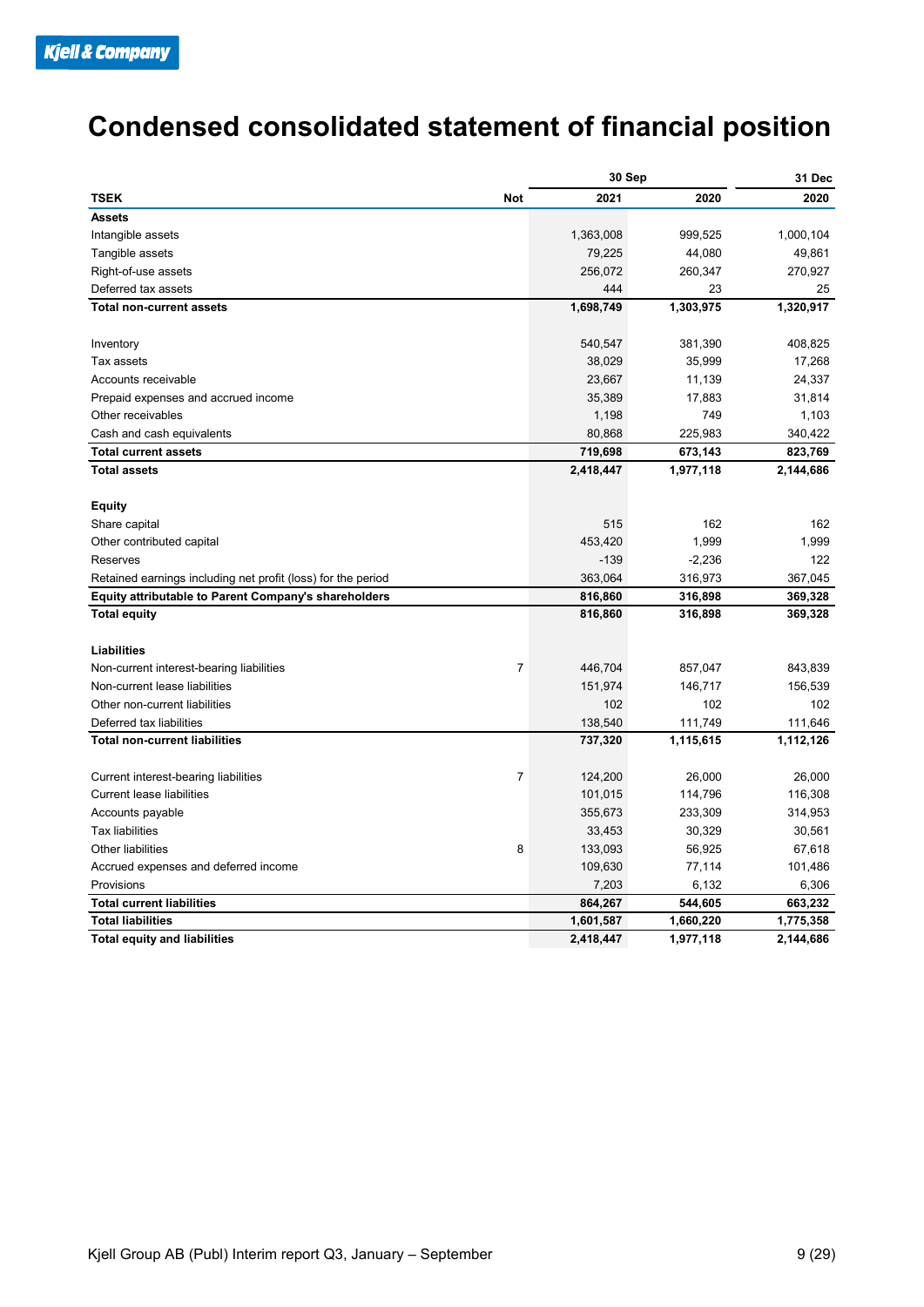### **Condensed consolidated statement of financial position**

|                                                              |                | 30 Sep    | 31 Dec    |           |
|--------------------------------------------------------------|----------------|-----------|-----------|-----------|
| <b>TSEK</b>                                                  | <b>Not</b>     | 2021      | 2020      | 2020      |
| <b>Assets</b>                                                |                |           |           |           |
| Intangible assets                                            |                | 1,363,008 | 999,525   | 1,000,104 |
| Tangible assets                                              |                | 79,225    | 44,080    | 49,861    |
| Right-of-use assets                                          |                | 256,072   | 260,347   | 270,927   |
| Deferred tax assets                                          |                | 444       | 23        | 25        |
| <b>Total non-current assets</b>                              |                | 1,698,749 | 1,303,975 | 1,320,917 |
|                                                              |                |           |           |           |
| Inventory                                                    |                | 540,547   | 381,390   | 408,825   |
| Tax assets                                                   |                | 38,029    | 35,999    | 17,268    |
| Accounts receivable                                          |                | 23,667    | 11,139    | 24,337    |
| Prepaid expenses and accrued income                          |                | 35,389    | 17,883    | 31,814    |
| Other receivables                                            |                | 1,198     | 749       | 1,103     |
| Cash and cash equivalents                                    |                | 80,868    | 225,983   | 340,422   |
| <b>Total current assets</b>                                  |                | 719,698   | 673,143   | 823,769   |
| <b>Total assets</b>                                          |                | 2,418,447 | 1,977,118 | 2,144,686 |
|                                                              |                |           |           |           |
| <b>Equity</b>                                                |                |           |           |           |
| Share capital                                                |                | 515       | 162       | 162       |
| Other contributed capital                                    |                | 453,420   | 1,999     | 1,999     |
| Reserves                                                     |                | $-139$    | $-2,236$  | 122       |
| Retained earnings including net profit (loss) for the period |                | 363,064   | 316,973   | 367,045   |
| <b>Equity attributable to Parent Company's shareholders</b>  |                | 816,860   | 316,898   | 369,328   |
| <b>Total equity</b>                                          |                | 816,860   | 316,898   | 369,328   |
|                                                              |                |           |           |           |
| Liabilities                                                  |                |           |           |           |
| Non-current interest-bearing liabilities                     | $\overline{7}$ | 446,704   | 857,047   | 843,839   |
| Non-current lease liabilities                                |                | 151,974   | 146,717   | 156,539   |
| Other non-current liabilities                                |                | 102       | 102       | 102       |
| Deferred tax liabilities                                     |                | 138,540   | 111,749   | 111,646   |
| <b>Total non-current liabilities</b>                         |                | 737,320   | 1,115,615 | 1,112,126 |
| Current interest-bearing liabilities                         | $\overline{7}$ | 124,200   | 26,000    | 26,000    |
| <b>Current lease liabilities</b>                             |                | 101,015   | 114,796   | 116,308   |
| Accounts payable                                             |                | 355,673   | 233,309   | 314,953   |
| <b>Tax liabilities</b>                                       |                | 33,453    | 30,329    | 30,561    |
| Other liabilities                                            | 8              | 133,093   | 56,925    | 67,618    |
| Accrued expenses and deferred income                         |                | 109,630   | 77,114    | 101,486   |
| Provisions                                                   |                | 7,203     | 6,132     | 6,306     |
| <b>Total current liabilities</b>                             |                | 864,267   | 544,605   | 663,232   |
| <b>Total liabilities</b>                                     |                | 1,601,587 | 1,660,220 | 1,775,358 |
| <b>Total equity and liabilities</b>                          |                | 2,418,447 | 1,977,118 | 2,144,686 |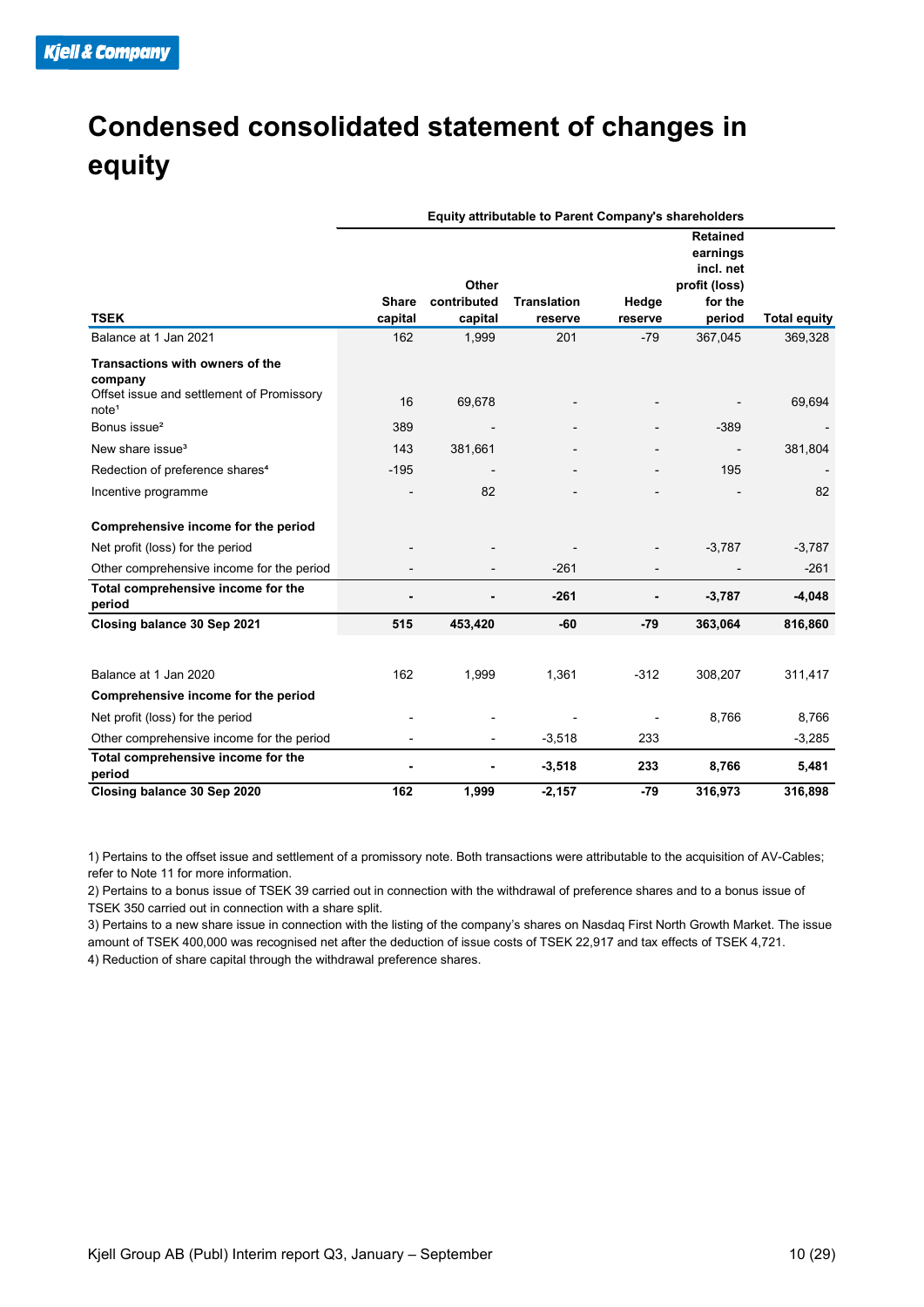### **Condensed consolidated statement of changes in equity**

|                                                                                                | Equity attributable to Parent Company's shareholders |                                 |                               |                  |                                                                                |                     |  |  |
|------------------------------------------------------------------------------------------------|------------------------------------------------------|---------------------------------|-------------------------------|------------------|--------------------------------------------------------------------------------|---------------------|--|--|
| <b>TSEK</b>                                                                                    | <b>Share</b><br>capital                              | Other<br>contributed<br>capital | <b>Translation</b><br>reserve | Hedge<br>reserve | <b>Retained</b><br>earnings<br>incl. net<br>profit (loss)<br>for the<br>period | <b>Total equity</b> |  |  |
| Balance at 1 Jan 2021                                                                          | 162                                                  | 1,999                           | 201                           | $-79$            | 367,045                                                                        | 369,328             |  |  |
| <b>Transactions with owners of the</b><br>company<br>Offset issue and settlement of Promissory | 16                                                   |                                 |                               |                  |                                                                                |                     |  |  |
| note <sup>1</sup>                                                                              |                                                      | 69,678                          |                               |                  |                                                                                | 69,694              |  |  |
| Bonus issue <sup>2</sup>                                                                       | 389                                                  |                                 |                               |                  | $-389$                                                                         |                     |  |  |
| New share issue <sup>3</sup>                                                                   | 143                                                  | 381,661                         |                               |                  |                                                                                | 381,804             |  |  |
| Redection of preference shares <sup>4</sup>                                                    | $-195$                                               |                                 |                               |                  | 195                                                                            |                     |  |  |
| Incentive programme                                                                            |                                                      | 82                              |                               |                  |                                                                                | 82                  |  |  |
| Comprehensive income for the period                                                            |                                                      |                                 |                               |                  |                                                                                |                     |  |  |
| Net profit (loss) for the period                                                               |                                                      |                                 |                               |                  | $-3,787$                                                                       | $-3,787$            |  |  |
| Other comprehensive income for the period                                                      |                                                      |                                 | $-261$                        |                  |                                                                                | $-261$              |  |  |
| Total comprehensive income for the<br>period                                                   |                                                      |                                 | $-261$                        |                  | $-3,787$                                                                       | $-4,048$            |  |  |
| Closing balance 30 Sep 2021                                                                    | 515                                                  | 453,420                         | $-60$                         | $-79$            | 363,064                                                                        | 816,860             |  |  |
|                                                                                                |                                                      |                                 |                               |                  |                                                                                |                     |  |  |
| Balance at 1 Jan 2020                                                                          | 162                                                  | 1,999                           | 1,361                         | $-312$           | 308,207                                                                        | 311,417             |  |  |
| Comprehensive income for the period                                                            |                                                      |                                 |                               |                  |                                                                                |                     |  |  |
| Net profit (loss) for the period                                                               |                                                      |                                 |                               |                  | 8,766                                                                          | 8,766               |  |  |
| Other comprehensive income for the period                                                      |                                                      | $\overline{\phantom{a}}$        | $-3,518$                      | 233              |                                                                                | $-3,285$            |  |  |
| Total comprehensive income for the<br>period                                                   |                                                      |                                 | $-3,518$                      | 233              | 8,766                                                                          | 5,481               |  |  |
| Closing balance 30 Sep 2020                                                                    | 162                                                  | 1,999                           | $-2,157$                      | $-79$            | 316,973                                                                        | 316,898             |  |  |

1) Pertains to the offset issue and settlement of a promissory note. Both transactions were attributable to the acquisition of AV-Cables; refer to Note 11 for more information.

2) Pertains to a bonus issue of TSEK 39 carried out in connection with the withdrawal of preference shares and to a bonus issue of TSEK 350 carried out in connection with a share split.

3) Pertains to a new share issue in connection with the listing of the company's shares on Nasdaq First North Growth Market. The issue amount of TSEK 400,000 was recognised net after the deduction of issue costs of TSEK 22,917 and tax effects of TSEK 4,721. 4) Reduction of share capital through the withdrawal preference shares.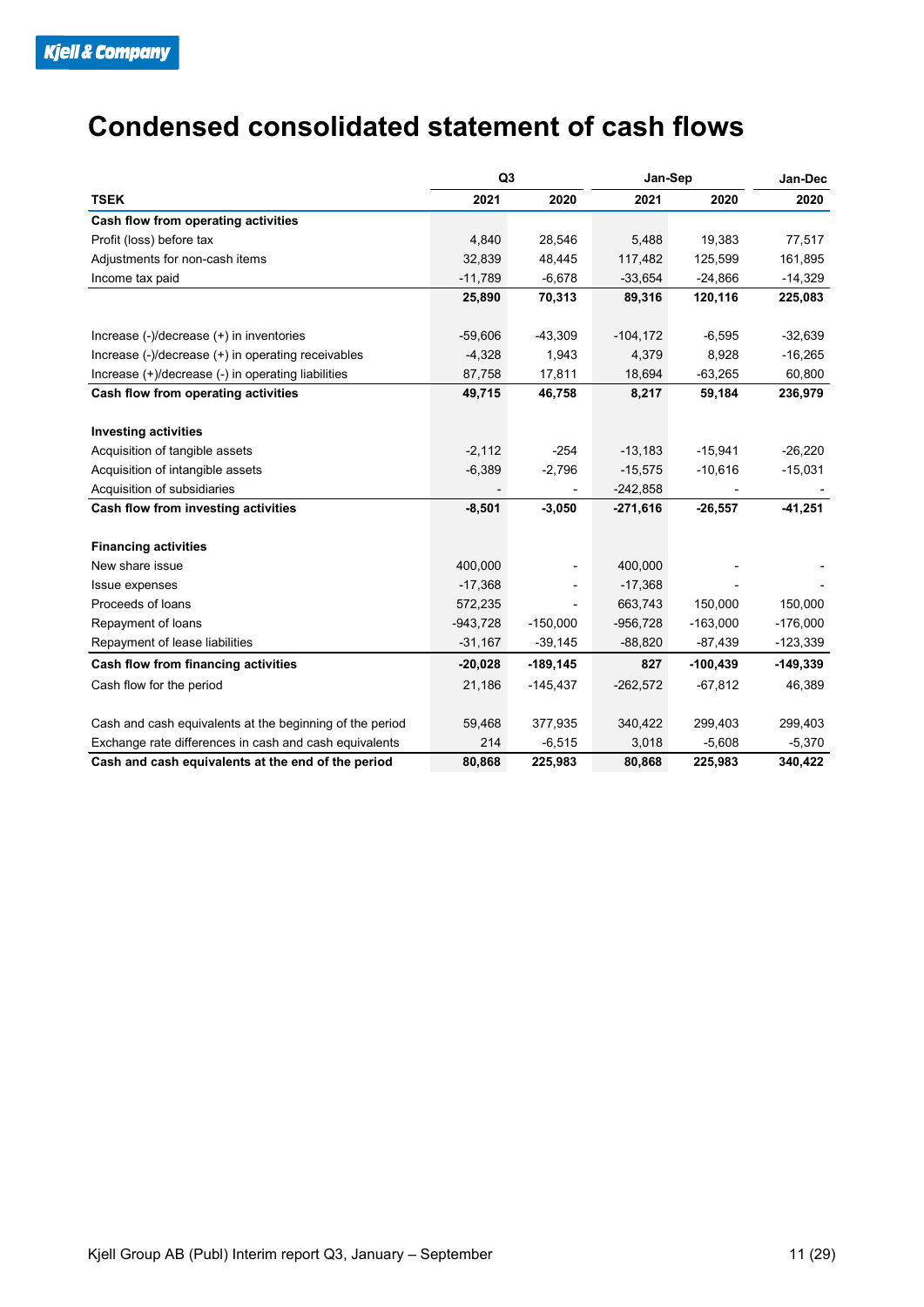### **Condensed consolidated statement of cash flows**

|                                                          | Q <sub>3</sub> |             | Jan-Sep     | Jan-Dec    |            |
|----------------------------------------------------------|----------------|-------------|-------------|------------|------------|
| <b>TSEK</b>                                              | 2021           | 2020        | 2021        | 2020       | 2020       |
| Cash flow from operating activities                      |                |             |             |            |            |
| Profit (loss) before tax                                 | 4,840          | 28,546      | 5,488       | 19,383     | 77,517     |
| Adjustments for non-cash items                           | 32.839         | 48,445      | 117,482     | 125.599    | 161,895    |
| Income tax paid                                          | $-11,789$      | $-6,678$    | $-33,654$   | $-24,866$  | $-14,329$  |
|                                                          | 25,890         | 70,313      | 89,316      | 120,116    | 225,083    |
| Increase (-)/decrease (+) in inventories                 | $-59,606$      | $-43,309$   | $-104, 172$ | $-6,595$   | $-32,639$  |
| Increase (-)/decrease (+) in operating receivables       | $-4,328$       | 1,943       | 4,379       | 8,928      | $-16,265$  |
| Increase (+)/decrease (-) in operating liabilities       | 87,758         | 17,811      | 18,694      | $-63,265$  | 60,800     |
| Cash flow from operating activities                      | 49,715         | 46,758      | 8,217       | 59,184     | 236,979    |
| <b>Investing activities</b>                              |                |             |             |            |            |
| Acquisition of tangible assets                           | $-2,112$       | $-254$      | $-13,183$   | $-15,941$  | $-26,220$  |
| Acquisition of intangible assets                         | $-6,389$       | $-2,796$    | $-15,575$   | $-10,616$  | $-15,031$  |
| Acquisition of subsidiaries                              |                |             | $-242,858$  |            |            |
| Cash flow from investing activities                      | $-8,501$       | $-3,050$    | $-271,616$  | $-26,557$  | $-41,251$  |
| <b>Financing activities</b>                              |                |             |             |            |            |
| New share issue                                          | 400,000        |             | 400,000     |            |            |
| Issue expenses                                           | $-17,368$      |             | $-17,368$   |            |            |
| Proceeds of loans                                        | 572,235        |             | 663,743     | 150,000    | 150,000    |
| Repayment of loans                                       | $-943,728$     | $-150,000$  | $-956,728$  | $-163,000$ | $-176,000$ |
| Repayment of lease liabilities                           | $-31,167$      | $-39,145$   | $-88,820$   | $-87,439$  | $-123,339$ |
| Cash flow from financing activities                      | $-20,028$      | $-189, 145$ | 827         | $-100.439$ | $-149,339$ |
| Cash flow for the period                                 | 21,186         | $-145,437$  | $-262,572$  | $-67,812$  | 46,389     |
| Cash and cash equivalents at the beginning of the period | 59,468         | 377,935     | 340,422     | 299,403    | 299,403    |
| Exchange rate differences in cash and cash equivalents   | 214            | $-6,515$    | 3,018       | $-5,608$   | $-5,370$   |
| Cash and cash equivalents at the end of the period       | 80,868         | 225,983     | 80,868      | 225,983    | 340,422    |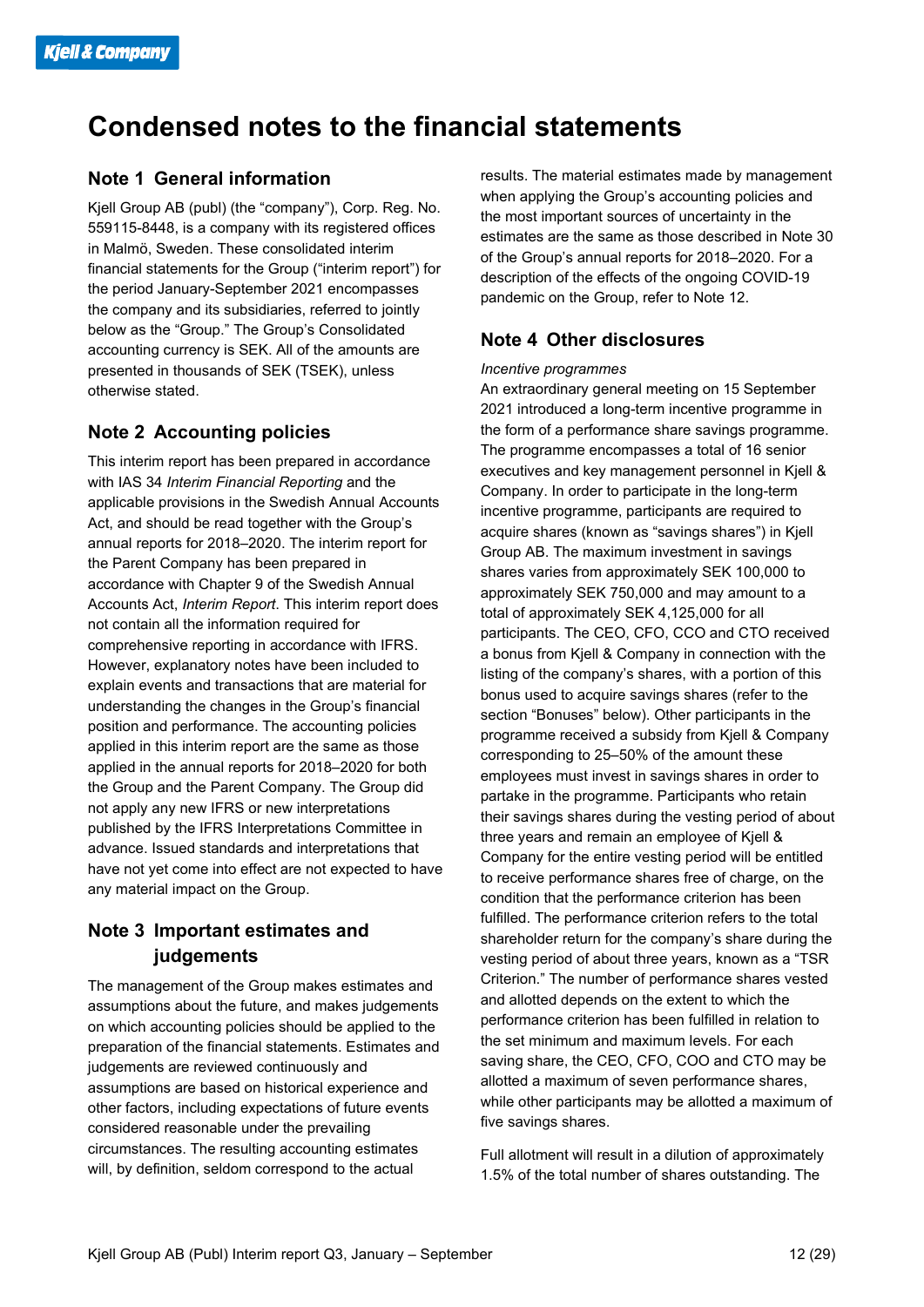### **Condensed notes to the financial statements**

#### **Note 1 General information**

Kjell Group AB (publ) (the "company"), Corp. Reg. No. 559115-8448, is a company with its registered offices in Malmö, Sweden. These consolidated interim financial statements for the Group ("interim report") for the period January-September 2021 encompasses the company and its subsidiaries, referred to jointly below as the "Group." The Group's Consolidated accounting currency is SEK. All of the amounts are presented in thousands of SEK (TSEK), unless otherwise stated.

#### **Note 2 Accounting policies**

This interim report has been prepared in accordance with IAS 34 *Interim Financial Reporting* and the applicable provisions in the Swedish Annual Accounts Act, and should be read together with the Group's annual reports for 2018–2020. The interim report for the Parent Company has been prepared in accordance with Chapter 9 of the Swedish Annual Accounts Act, *Interim Report*. This interim report does not contain all the information required for comprehensive reporting in accordance with IFRS. However, explanatory notes have been included to explain events and transactions that are material for understanding the changes in the Group's financial position and performance. The accounting policies applied in this interim report are the same as those applied in the annual reports for 2018–2020 for both the Group and the Parent Company. The Group did not apply any new IFRS or new interpretations published by the IFRS Interpretations Committee in advance. Issued standards and interpretations that have not yet come into effect are not expected to have any material impact on the Group.

#### **Note 3 Important estimates and judgements**

The management of the Group makes estimates and assumptions about the future, and makes judgements on which accounting policies should be applied to the preparation of the financial statements. Estimates and judgements are reviewed continuously and assumptions are based on historical experience and other factors, including expectations of future events considered reasonable under the prevailing circumstances. The resulting accounting estimates will, by definition, seldom correspond to the actual

results. The material estimates made by management when applying the Group's accounting policies and the most important sources of uncertainty in the estimates are the same as those described in Note 30 of the Group's annual reports for 2018–2020. For a description of the effects of the ongoing COVID-19 pandemic on the Group, refer to Note 12.

#### **Note 4 Other disclosures**

#### *Incentive programmes*

An extraordinary general meeting on 15 September 2021 introduced a long-term incentive programme in the form of a performance share savings programme. The programme encompasses a total of 16 senior executives and key management personnel in Kjell & Company. In order to participate in the long-term incentive programme, participants are required to acquire shares (known as "savings shares") in Kjell Group AB. The maximum investment in savings shares varies from approximately SEK 100,000 to approximately SEK 750,000 and may amount to a total of approximately SEK 4,125,000 for all participants. The CEO, CFO, CCO and CTO received a bonus from Kjell & Company in connection with the listing of the company's shares, with a portion of this bonus used to acquire savings shares (refer to the section "Bonuses" below). Other participants in the programme received a subsidy from Kjell & Company corresponding to 25–50% of the amount these employees must invest in savings shares in order to partake in the programme. Participants who retain their savings shares during the vesting period of about three years and remain an employee of Kjell & Company for the entire vesting period will be entitled to receive performance shares free of charge, on the condition that the performance criterion has been fulfilled. The performance criterion refers to the total shareholder return for the company's share during the vesting period of about three years, known as a "TSR Criterion." The number of performance shares vested and allotted depends on the extent to which the performance criterion has been fulfilled in relation to the set minimum and maximum levels. For each saving share, the CEO, CFO, COO and CTO may be allotted a maximum of seven performance shares, while other participants may be allotted a maximum of five savings shares.

Full allotment will result in a dilution of approximately 1.5% of the total number of shares outstanding. The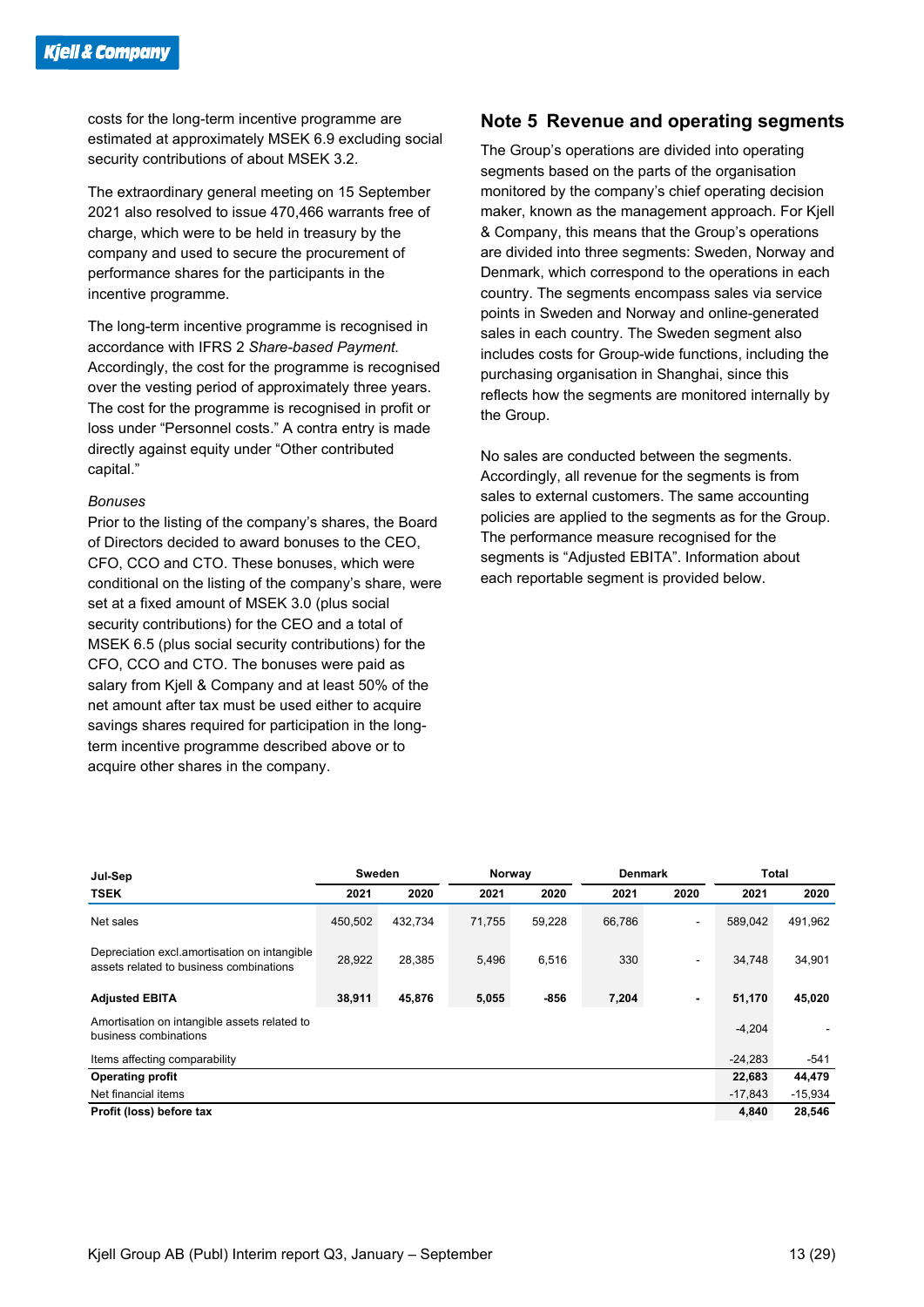costs for the long-term incentive programme are estimated at approximately MSEK 6.9 excluding social security contributions of about MSEK 3.2.

The extraordinary general meeting on 15 September 2021 also resolved to issue 470,466 warrants free of charge, which were to be held in treasury by the company and used to secure the procurement of performance shares for the participants in the incentive programme.

The long-term incentive programme is recognised in accordance with IFRS 2 *Share-based Payment.* Accordingly, the cost for the programme is recognised over the vesting period of approximately three years. The cost for the programme is recognised in profit or loss under "Personnel costs." A contra entry is made directly against equity under "Other contributed capital."

#### *Bonuses*

Prior to the listing of the company's shares, the Board of Directors decided to award bonuses to the CEO, CFO, CCO and CTO. These bonuses, which were conditional on the listing of the company's share, were set at a fixed amount of MSEK 3.0 (plus social security contributions) for the CEO and a total of MSEK 6.5 (plus social security contributions) for the CFO, CCO and CTO. The bonuses were paid as salary from Kjell & Company and at least 50% of the net amount after tax must be used either to acquire savings shares required for participation in the longterm incentive programme described above or to acquire other shares in the company.

#### **Note 5 Revenue and operating segments**

The Group's operations are divided into operating segments based on the parts of the organisation monitored by the company's chief operating decision maker, known as the management approach. For Kjell & Company, this means that the Group's operations are divided into three segments: Sweden, Norway and Denmark, which correspond to the operations in each country. The segments encompass sales via service points in Sweden and Norway and online-generated sales in each country. The Sweden segment also includes costs for Group-wide functions, including the purchasing organisation in Shanghai, since this reflects how the segments are monitored internally by the Group.

No sales are conducted between the segments. Accordingly, all revenue for the segments is from sales to external customers. The same accounting policies are applied to the segments as for the Group. The performance measure recognised for the segments is "Adjusted EBITA". Information about each reportable segment is provided below.

| Jul-Sep                                                                                 | Sweden  |         | <b>Denmark</b><br>Norway |        |        | <b>Total</b>             |           |           |
|-----------------------------------------------------------------------------------------|---------|---------|--------------------------|--------|--------|--------------------------|-----------|-----------|
| <b>TSEK</b>                                                                             | 2021    | 2020    | 2021                     | 2020   | 2021   | 2020                     | 2021      | 2020      |
| Net sales                                                                               | 450,502 | 432,734 | 71,755                   | 59,228 | 66,786 |                          | 589,042   | 491,962   |
| Depreciation excl.amortisation on intangible<br>assets related to business combinations | 28,922  | 28,385  | 5,496                    | 6,516  | 330    | $\overline{\phantom{0}}$ | 34.748    | 34,901    |
| <b>Adjusted EBITA</b>                                                                   | 38,911  | 45,876  | 5,055                    | $-856$ | 7,204  | $\blacksquare$           | 51,170    | 45,020    |
| Amortisation on intangible assets related to<br>business combinations                   |         |         |                          |        |        |                          | $-4,204$  |           |
| Items affecting comparability                                                           |         |         |                          |        |        |                          | $-24,283$ | -541      |
| <b>Operating profit</b>                                                                 |         |         |                          |        |        |                          | 22,683    | 44,479    |
| Net financial items                                                                     |         |         |                          |        |        |                          | $-17,843$ | $-15,934$ |
| Profit (loss) before tax                                                                |         |         |                          |        |        |                          | 4,840     | 28,546    |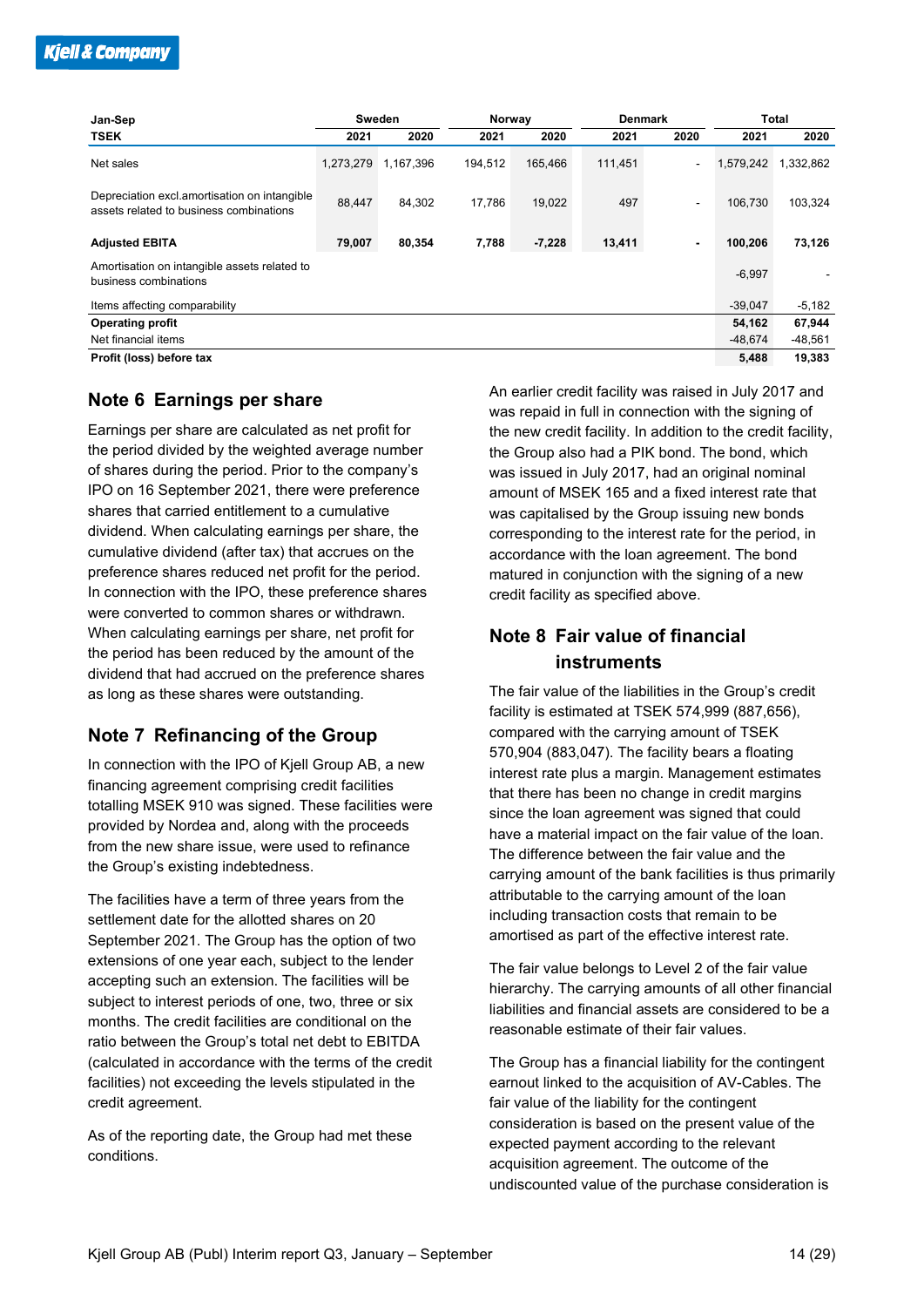| Jan-Sep                                                                                 |           | Sweden    |         | Norway<br><b>Denmark</b> |         |                | Total     |           |
|-----------------------------------------------------------------------------------------|-----------|-----------|---------|--------------------------|---------|----------------|-----------|-----------|
| <b>TSEK</b>                                                                             | 2021      | 2020      | 2021    | 2020                     | 2021    | 2020           | 2021      | 2020      |
| Net sales                                                                               | 1,273,279 | 1,167,396 | 194,512 | 165,466                  | 111,451 |                | 1,579,242 | 1,332,862 |
| Depreciation excl.amortisation on intangible<br>assets related to business combinations | 88,447    | 84.302    | 17.786  | 19,022                   | 497     | $\blacksquare$ | 106.730   | 103,324   |
| <b>Adjusted EBITA</b>                                                                   | 79,007    | 80,354    | 7,788   | $-7,228$                 | 13,411  | $\blacksquare$ | 100,206   | 73,126    |
| Amortisation on intangible assets related to<br>business combinations                   |           |           |         |                          |         |                | $-6,997$  |           |
| Items affecting comparability                                                           |           |           |         |                          |         |                | $-39,047$ | $-5,182$  |
| <b>Operating profit</b>                                                                 |           |           |         |                          |         |                | 54,162    | 67,944    |
| Net financial items                                                                     |           |           |         |                          |         |                | $-48,674$ | $-48,561$ |
| Profit (loss) before tax                                                                |           |           |         |                          |         |                | 5,488     | 19,383    |

#### **Note 6 Earnings per share**

Earnings per share are calculated as net profit for the period divided by the weighted average number of shares during the period. Prior to the company's IPO on 16 September 2021, there were preference shares that carried entitlement to a cumulative dividend. When calculating earnings per share, the cumulative dividend (after tax) that accrues on the preference shares reduced net profit for the period. In connection with the IPO, these preference shares were converted to common shares or withdrawn. When calculating earnings per share, net profit for the period has been reduced by the amount of the dividend that had accrued on the preference shares as long as these shares were outstanding.

#### **Note 7 Refinancing of the Group**

In connection with the IPO of Kjell Group AB, a new financing agreement comprising credit facilities totalling MSEK 910 was signed. These facilities were provided by Nordea and, along with the proceeds from the new share issue, were used to refinance the Group's existing indebtedness.

The facilities have a term of three years from the settlement date for the allotted shares on 20 September 2021. The Group has the option of two extensions of one year each, subject to the lender accepting such an extension. The facilities will be subject to interest periods of one, two, three or six months. The credit facilities are conditional on the ratio between the Group's total net debt to EBITDA (calculated in accordance with the terms of the credit facilities) not exceeding the levels stipulated in the credit agreement.

As of the reporting date, the Group had met these conditions.

An earlier credit facility was raised in July 2017 and was repaid in full in connection with the signing of the new credit facility. In addition to the credit facility, the Group also had a PIK bond. The bond, which was issued in July 2017, had an original nominal amount of MSEK 165 and a fixed interest rate that was capitalised by the Group issuing new bonds corresponding to the interest rate for the period, in accordance with the loan agreement. The bond matured in conjunction with the signing of a new credit facility as specified above.

#### **Note 8 Fair value of financial instruments**

The fair value of the liabilities in the Group's credit facility is estimated at TSEK 574,999 (887,656), compared with the carrying amount of TSEK 570,904 (883,047). The facility bears a floating interest rate plus a margin. Management estimates that there has been no change in credit margins since the loan agreement was signed that could have a material impact on the fair value of the loan. The difference between the fair value and the carrying amount of the bank facilities is thus primarily attributable to the carrying amount of the loan including transaction costs that remain to be amortised as part of the effective interest rate.

The fair value belongs to Level 2 of the fair value hierarchy. The carrying amounts of all other financial liabilities and financial assets are considered to be a reasonable estimate of their fair values.

The Group has a financial liability for the contingent earnout linked to the acquisition of AV-Cables. The fair value of the liability for the contingent consideration is based on the present value of the expected payment according to the relevant acquisition agreement. The outcome of the undiscounted value of the purchase consideration is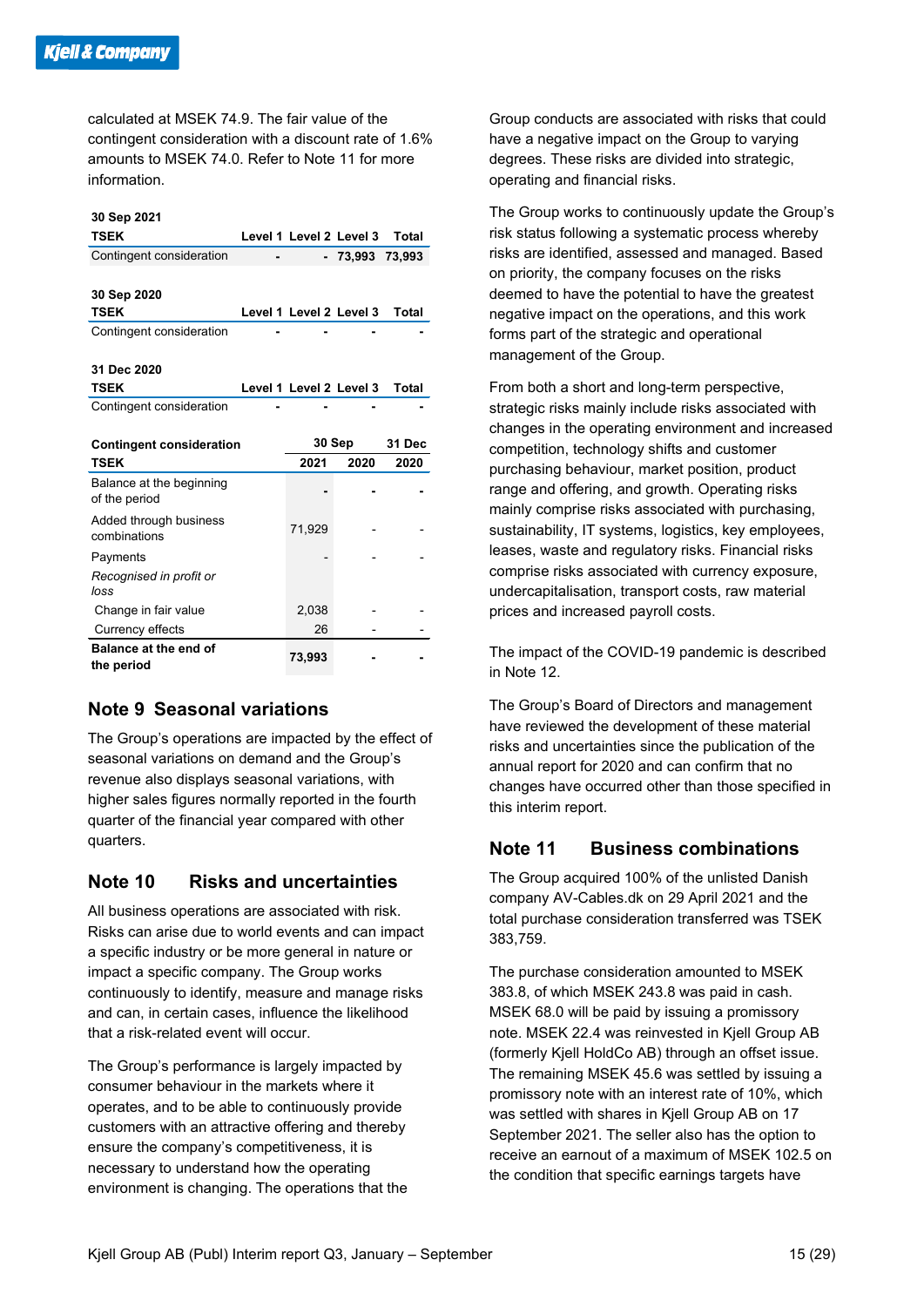calculated at MSEK 74.9. The fair value of the contingent consideration with a discount rate of 1.6% amounts to MSEK 74.0. Refer to Note 11 for more information.

#### **30 Sep 2021**

| <b>TSEK</b>              |                         | Level 1 Level 2 Level 3 | Total  |
|--------------------------|-------------------------|-------------------------|--------|
| Contingent consideration |                         | - 73,993                | 73.993 |
|                          |                         |                         |        |
| 30 Sep 2020              |                         |                         |        |
| <b>TSEK</b>              | Level 1 Level 2 Level 3 |                         | Total  |
| Contingent consideration |                         |                         |        |
|                          |                         |                         |        |
| 31 Dec 2020              |                         |                         |        |
| <b>TSEK</b>              | Level 1 Level 2 Level 3 |                         | Total  |
| Contingent consideration |                         |                         |        |

| <b>Contingent consideration</b>           | 30 Sep |      | 31 Dec |  |
|-------------------------------------------|--------|------|--------|--|
| <b>TSEK</b>                               | 2021   | 2020 | 2020   |  |
| Balance at the beginning<br>of the period |        |      |        |  |
| Added through business<br>combinations    | 71,929 |      |        |  |
| Payments                                  |        |      |        |  |
| Recognised in profit or<br>loss           |        |      |        |  |
| Change in fair value                      | 2,038  |      |        |  |
| Currency effects                          | 26     |      |        |  |
| Balance at the end of<br>the period       | 73,993 |      |        |  |

#### **Note 9 Seasonal variations**

The Group's operations are impacted by the effect of seasonal variations on demand and the Group's revenue also displays seasonal variations, with higher sales figures normally reported in the fourth quarter of the financial year compared with other quarters.

#### **Note 10 Risks and uncertainties**

All business operations are associated with risk. Risks can arise due to world events and can impact a specific industry or be more general in nature or impact a specific company. The Group works continuously to identify, measure and manage risks and can, in certain cases, influence the likelihood that a risk-related event will occur.

The Group's performance is largely impacted by consumer behaviour in the markets where it operates, and to be able to continuously provide customers with an attractive offering and thereby ensure the company's competitiveness, it is necessary to understand how the operating environment is changing. The operations that the

Group conducts are associated with risks that could have a negative impact on the Group to varying degrees. These risks are divided into strategic, operating and financial risks.

The Group works to continuously update the Group's risk status following a systematic process whereby risks are identified, assessed and managed. Based on priority, the company focuses on the risks deemed to have the potential to have the greatest negative impact on the operations, and this work forms part of the strategic and operational management of the Group.

From both a short and long-term perspective, strategic risks mainly include risks associated with changes in the operating environment and increased competition, technology shifts and customer purchasing behaviour, market position, product range and offering, and growth. Operating risks mainly comprise risks associated with purchasing, sustainability, IT systems, logistics, key employees, leases, waste and regulatory risks. Financial risks comprise risks associated with currency exposure, undercapitalisation, transport costs, raw material prices and increased payroll costs.

The impact of the COVID-19 pandemic is described in Note 12.

The Group's Board of Directors and management have reviewed the development of these material risks and uncertainties since the publication of the annual report for 2020 and can confirm that no changes have occurred other than those specified in this interim report.

#### **Note 11 Business combinations**

The Group acquired 100% of the unlisted Danish company AV-Cables.dk on 29 April 2021 and the total purchase consideration transferred was TSEK 383,759.

The purchase consideration amounted to MSEK 383.8, of which MSEK 243.8 was paid in cash. MSEK 68.0 will be paid by issuing a promissory note. MSEK 22.4 was reinvested in Kjell Group AB (formerly Kjell HoldCo AB) through an offset issue. The remaining MSEK 45.6 was settled by issuing a promissory note with an interest rate of 10%, which was settled with shares in Kjell Group AB on 17 September 2021. The seller also has the option to receive an earnout of a maximum of MSEK 102.5 on the condition that specific earnings targets have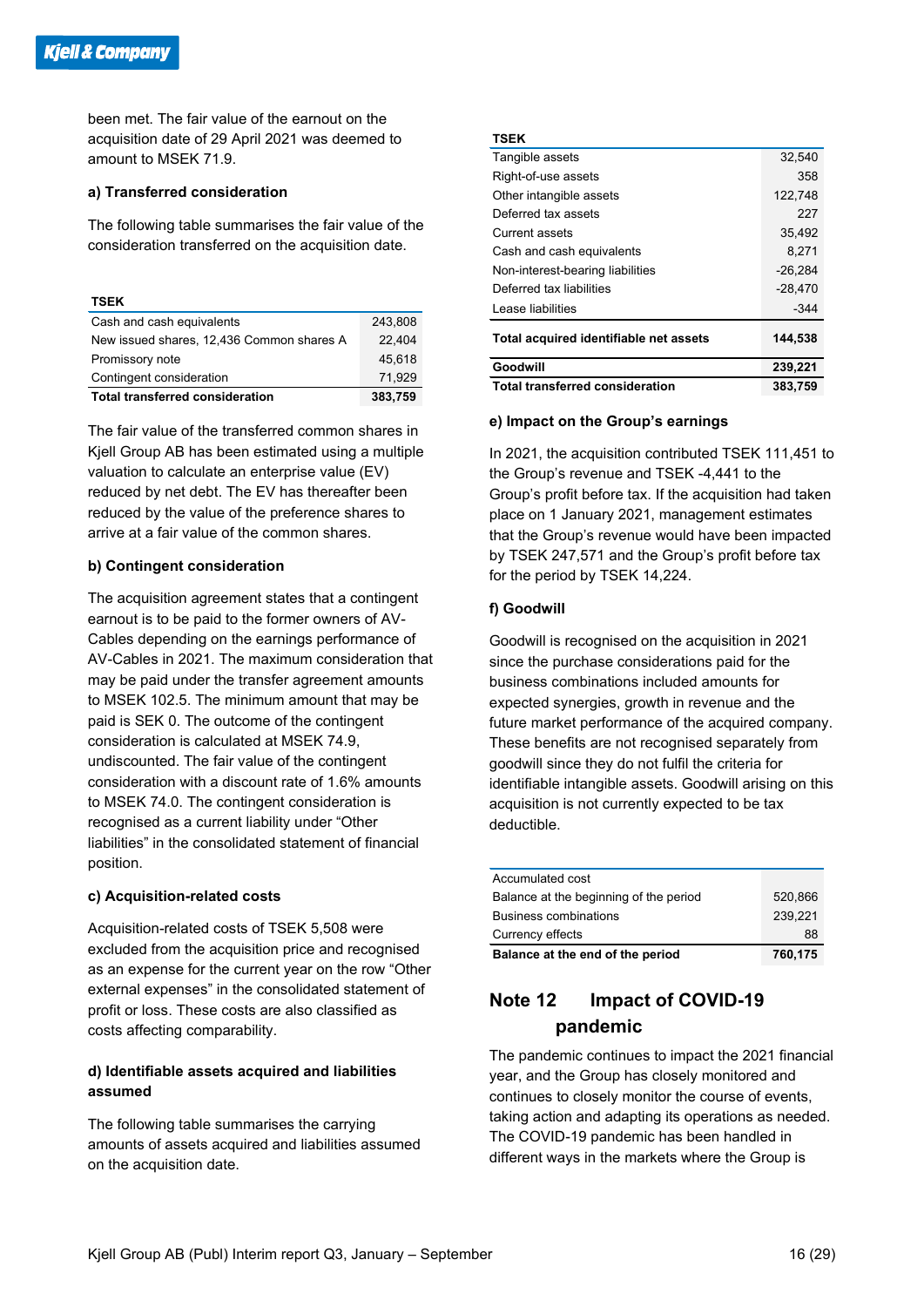been met. The fair value of the earnout on the acquisition date of 29 April 2021 was deemed to amount to MSEK 71.9.

#### **a) Transferred consideration**

The following table summarises the fair value of the consideration transferred on the acquisition date.

#### **TSEK**

| Cash and cash equivalents                 | 243,808 |
|-------------------------------------------|---------|
| New issued shares, 12,436 Common shares A | 22.404  |
| Promissory note                           | 45.618  |
| Contingent consideration                  | 71.929  |
| <b>Total transferred consideration</b>    | 383,759 |

The fair value of the transferred common shares in Kjell Group AB has been estimated using a multiple valuation to calculate an enterprise value (EV) reduced by net debt. The EV has thereafter been reduced by the value of the preference shares to arrive at a fair value of the common shares.

#### **b) Contingent consideration**

The acquisition agreement states that a contingent earnout is to be paid to the former owners of AV-Cables depending on the earnings performance of AV-Cables in 2021. The maximum consideration that may be paid under the transfer agreement amounts to MSEK 102.5. The minimum amount that may be paid is SEK 0. The outcome of the contingent consideration is calculated at MSEK 74.9, undiscounted. The fair value of the contingent consideration with a discount rate of 1.6% amounts to MSEK 74.0. The contingent consideration is recognised as a current liability under "Other liabilities" in the consolidated statement of financial position.

#### **c) Acquisition-related costs**

Acquisition-related costs of TSEK 5,508 were excluded from the acquisition price and recognised as an expense for the current year on the row "Other external expenses" in the consolidated statement of profit or loss. These costs are also classified as costs affecting comparability.

#### **d) Identifiable assets acquired and liabilities assumed**

The following table summarises the carrying amounts of assets acquired and liabilities assumed on the acquisition date.

#### **TSEK**

| Tangible assets                        | 32,540    |
|----------------------------------------|-----------|
| Right-of-use assets                    | 358       |
| Other intangible assets                | 122,748   |
| Deferred tax assets                    | 227       |
| <b>Current assets</b>                  | 35.492    |
| Cash and cash equivalents              | 8.271     |
| Non-interest-bearing liabilities       | $-26,284$ |
| Deferred tax liabilities               | $-28,470$ |
| Lease liabilities                      | $-344$    |
| Total acquired identifiable net assets | 144,538   |
| Goodwill                               | 239,221   |
| <b>Total transferred consideration</b> | 383.759   |

#### **e) Impact on the Group's earnings**

In 2021, the acquisition contributed TSEK 111,451 to the Group's revenue and TSEK -4,441 to the Group's profit before tax. If the acquisition had taken place on 1 January 2021, management estimates that the Group's revenue would have been impacted by TSEK 247,571 and the Group's profit before tax for the period by TSEK 14,224.

#### **f) Goodwill**

Goodwill is recognised on the acquisition in 2021 since the purchase considerations paid for the business combinations included amounts for expected synergies, growth in revenue and the future market performance of the acquired company. These benefits are not recognised separately from goodwill since they do not fulfil the criteria for identifiable intangible assets. Goodwill arising on this acquisition is not currently expected to be tax deductible.

| Balance at the end of the period       | 760,175 |
|----------------------------------------|---------|
| Currency effects                       | 88      |
| <b>Business combinations</b>           | 239.221 |
| Balance at the beginning of the period | 520.866 |
| Accumulated cost                       |         |

#### **Note 12 Impact of COVID-19 pandemic**

The pandemic continues to impact the 2021 financial year, and the Group has closely monitored and continues to closely monitor the course of events, taking action and adapting its operations as needed. The COVID-19 pandemic has been handled in different ways in the markets where the Group is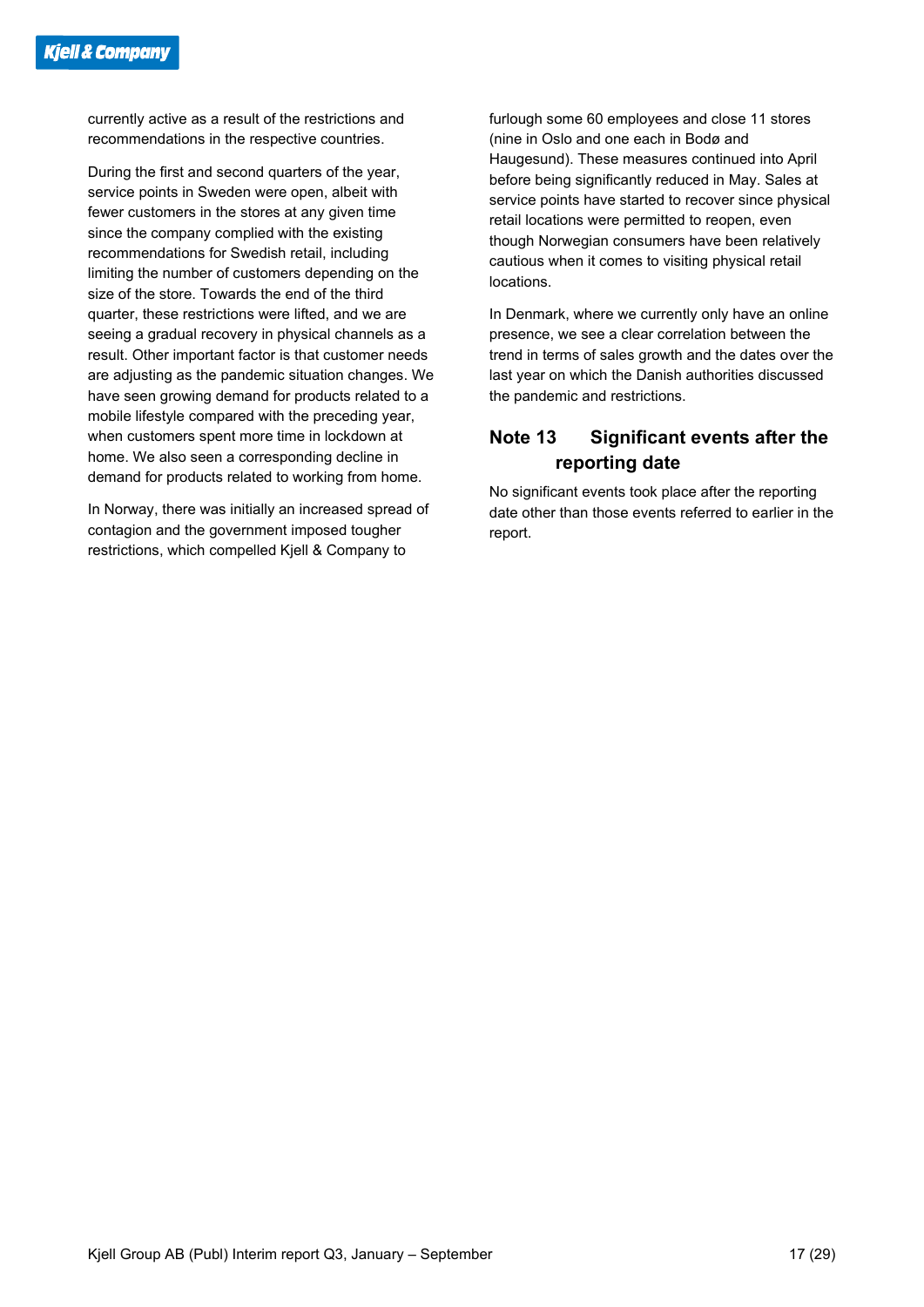currently active as a result of the restrictions and recommendations in the respective countries.

During the first and second quarters of the year, service points in Sweden were open, albeit with fewer customers in the stores at any given time since the company complied with the existing recommendations for Swedish retail, including limiting the number of customers depending on the size of the store. Towards the end of the third quarter, these restrictions were lifted, and we are seeing a gradual recovery in physical channels as a result. Other important factor is that customer needs are adjusting as the pandemic situation changes. We have seen growing demand for products related to a mobile lifestyle compared with the preceding year, when customers spent more time in lockdown at home. We also seen a corresponding decline in demand for products related to working from home.

In Norway, there was initially an increased spread of contagion and the government imposed tougher restrictions, which compelled Kjell & Company to

furlough some 60 employees and close 11 stores (nine in Oslo and one each in Bodø and Haugesund). These measures continued into April before being significantly reduced in May. Sales at service points have started to recover since physical retail locations were permitted to reopen, even though Norwegian consumers have been relatively cautious when it comes to visiting physical retail locations.

In Denmark, where we currently only have an online presence, we see a clear correlation between the trend in terms of sales growth and the dates over the last year on which the Danish authorities discussed the pandemic and restrictions.

#### **Note 13 Significant events after the reporting date**

No significant events took place after the reporting date other than those events referred to earlier in the report.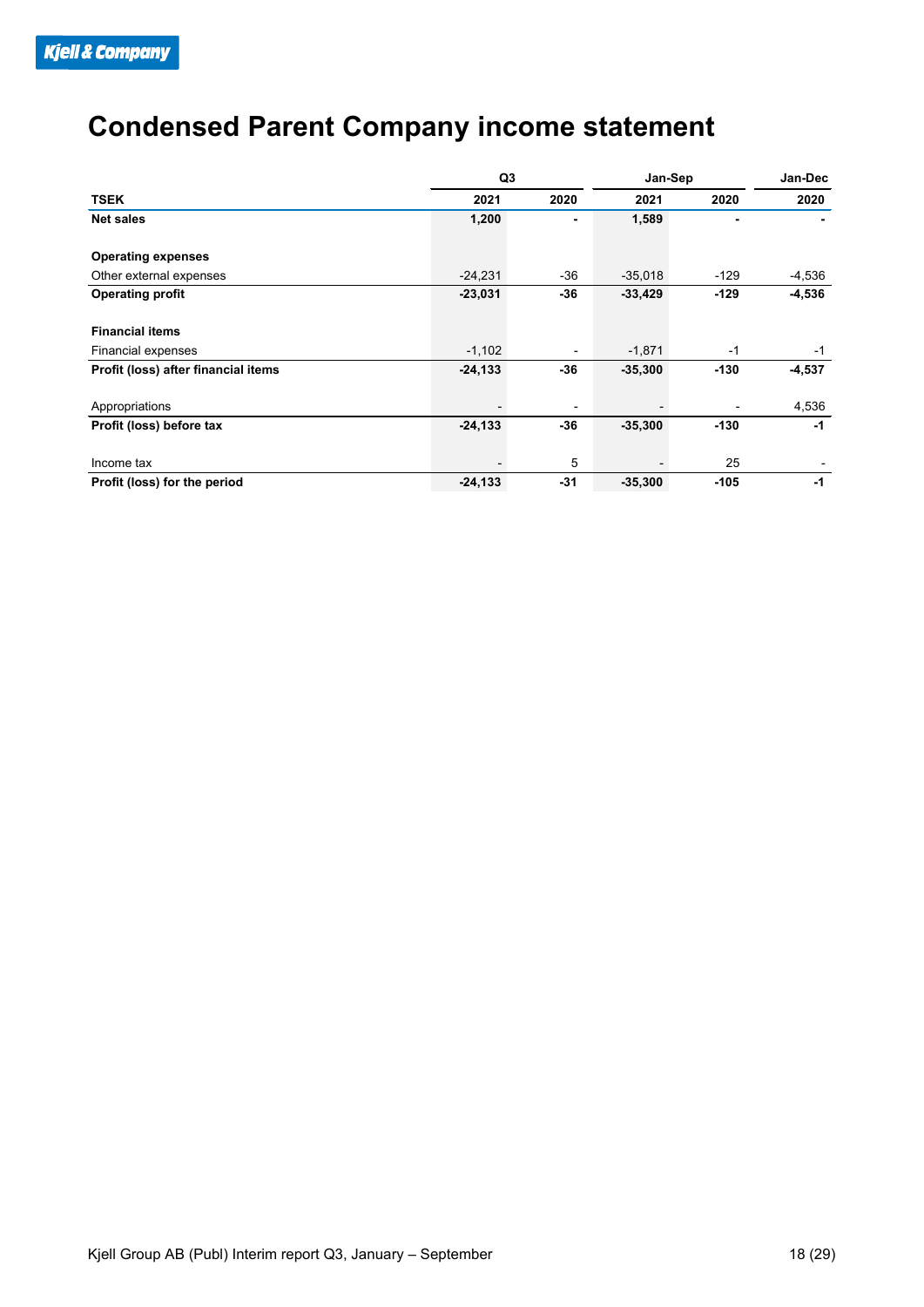### **Condensed Parent Company income statement**

|                                     | Q <sub>3</sub> |                          |           | Jan-Sep |          |  |
|-------------------------------------|----------------|--------------------------|-----------|---------|----------|--|
| <b>TSEK</b>                         | 2021           | 2020                     | 2021      | 2020    | 2020     |  |
| <b>Net sales</b>                    | 1,200          |                          | 1,589     |         |          |  |
| <b>Operating expenses</b>           |                |                          |           |         |          |  |
| Other external expenses             | $-24,231$      | $-36$                    | $-35,018$ | $-129$  | -4,536   |  |
| <b>Operating profit</b>             | $-23,031$      | -36                      | $-33,429$ | $-129$  | $-4,536$ |  |
| <b>Financial items</b>              |                |                          |           |         |          |  |
| <b>Financial expenses</b>           | $-1,102$       | $\overline{\phantom{a}}$ | $-1,871$  | $-1$    | $-1$     |  |
| Profit (loss) after financial items | $-24, 133$     | -36                      | $-35,300$ | $-130$  | $-4,537$ |  |
| Appropriations                      |                |                          |           |         | 4,536    |  |
| Profit (loss) before tax            | $-24, 133$     | -36                      | $-35,300$ | $-130$  | $-1$     |  |
| Income tax                          |                | 5                        |           | 25      |          |  |
| Profit (loss) for the period        | $-24, 133$     | $-31$                    | $-35,300$ | $-105$  | $-1$     |  |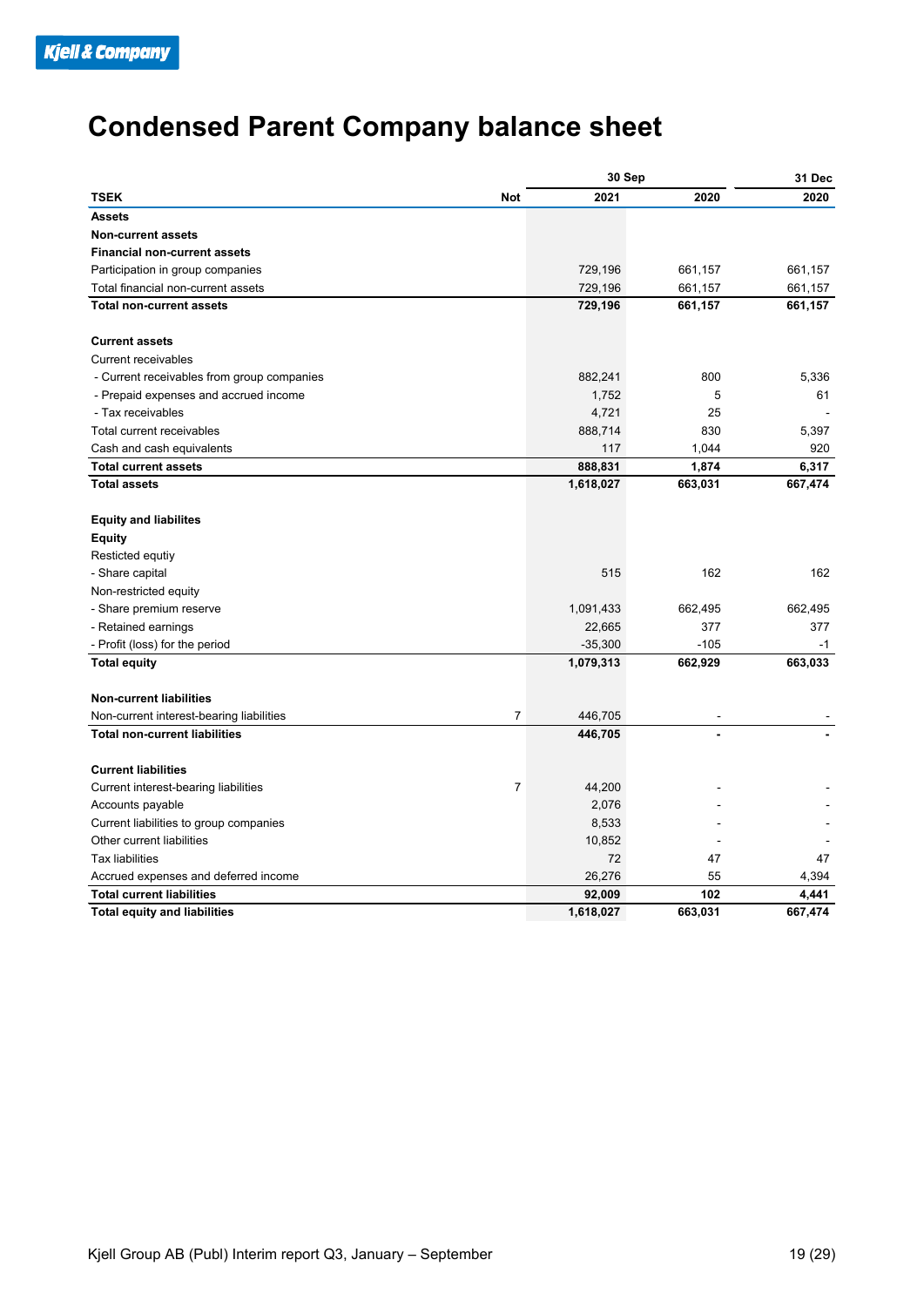## **Condensed Parent Company balance sheet**

|                                                                   |                | 30 Sep    | 31 Dec  |         |
|-------------------------------------------------------------------|----------------|-----------|---------|---------|
| <b>TSEK</b>                                                       | <b>Not</b>     | 2021      | 2020    | 2020    |
| <b>Assets</b>                                                     |                |           |         |         |
| <b>Non-current assets</b>                                         |                |           |         |         |
| <b>Financial non-current assets</b>                               |                |           |         |         |
| Participation in group companies                                  |                | 729,196   | 661,157 | 661,157 |
| Total financial non-current assets                                |                | 729,196   | 661,157 | 661,157 |
| <b>Total non-current assets</b>                                   |                | 729,196   | 661,157 | 661,157 |
| <b>Current assets</b>                                             |                |           |         |         |
| <b>Current receivables</b>                                        |                |           |         |         |
| - Current receivables from group companies                        |                | 882,241   | 800     | 5,336   |
| - Prepaid expenses and accrued income                             |                | 1,752     | 5       | 61      |
| - Tax receivables                                                 |                | 4,721     | 25      |         |
| Total current receivables                                         |                | 888,714   | 830     | 5,397   |
| Cash and cash equivalents                                         |                | 117       | 1,044   | 920     |
| <b>Total current assets</b>                                       |                | 888,831   | 1,874   | 6,317   |
| <b>Total assets</b>                                               |                | 1,618,027 | 663,031 | 667,474 |
| <b>Equity and liabilites</b><br><b>Equity</b><br>Resticted equtiy |                |           |         |         |
| - Share capital                                                   |                | 515       | 162     | 162     |
| Non-restricted equity                                             |                |           |         |         |
| - Share premium reserve                                           |                | 1,091,433 | 662,495 | 662,495 |
| - Retained earnings                                               |                | 22,665    | 377     | 377     |
| - Profit (loss) for the period                                    |                | $-35,300$ | $-105$  | $-1$    |
| <b>Total equity</b>                                               |                | 1,079,313 | 662,929 | 663,033 |
|                                                                   |                |           |         |         |
| <b>Non-current liabilities</b>                                    |                |           |         |         |
| Non-current interest-bearing liabilities                          | $\overline{7}$ | 446,705   |         |         |
| <b>Total non-current liabilities</b>                              |                | 446,705   |         |         |
| <b>Current liabilities</b>                                        |                |           |         |         |
| Current interest-bearing liabilities                              | $\overline{7}$ | 44,200    |         |         |
| Accounts payable                                                  |                | 2,076     |         |         |
| Current liabilities to group companies                            |                | 8,533     |         |         |
| Other current liabilities                                         |                | 10,852    |         |         |
| <b>Tax liabilities</b>                                            |                | 72        | 47      | 47      |
| Accrued expenses and deferred income                              |                | 26,276    | 55      | 4,394   |
| <b>Total current liabilities</b>                                  |                | 92,009    | 102     | 4,441   |
| <b>Total equity and liabilities</b>                               |                | 1,618,027 | 663.031 | 667,474 |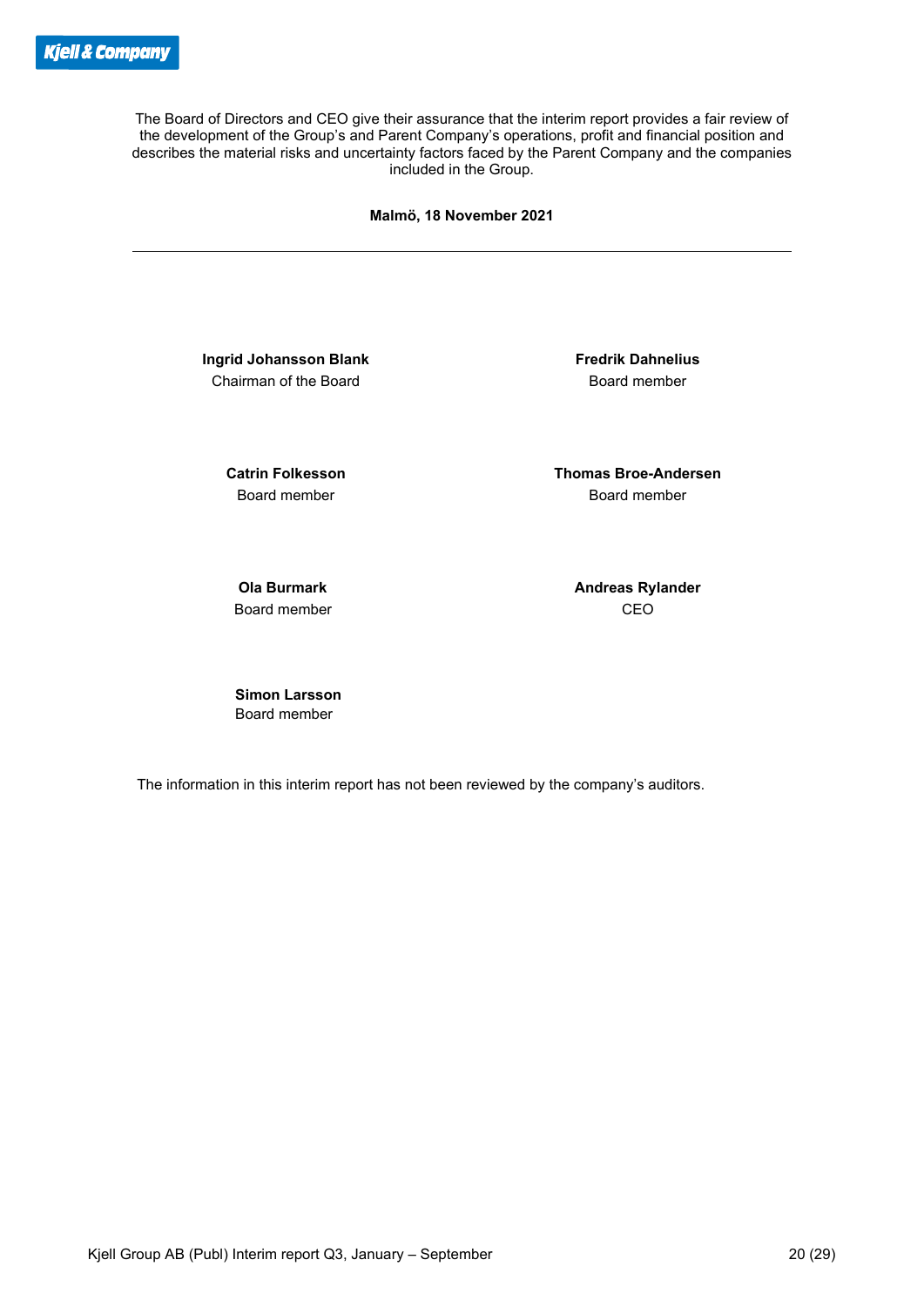The Board of Directors and CEO give their assurance that the interim report provides a fair review of the development of the Group's and Parent Company's operations, profit and financial position and describes the material risks and uncertainty factors faced by the Parent Company and the companies included in the Group.

**Malmö, 18 November 2021**

**Ingrid Johansson Blank Fredrik Dahnelius** Chairman of the Board **Board Chairman** of the Board

**Catrin Folkesson Thomas Broe-Andersen** Board member **Board member** Board member

Board member CEO

**Ola Burmark Andreas Rylander Andreas Rylander** 

 **Simon Larsson** Board member

The information in this interim report has not been reviewed by the company's auditors.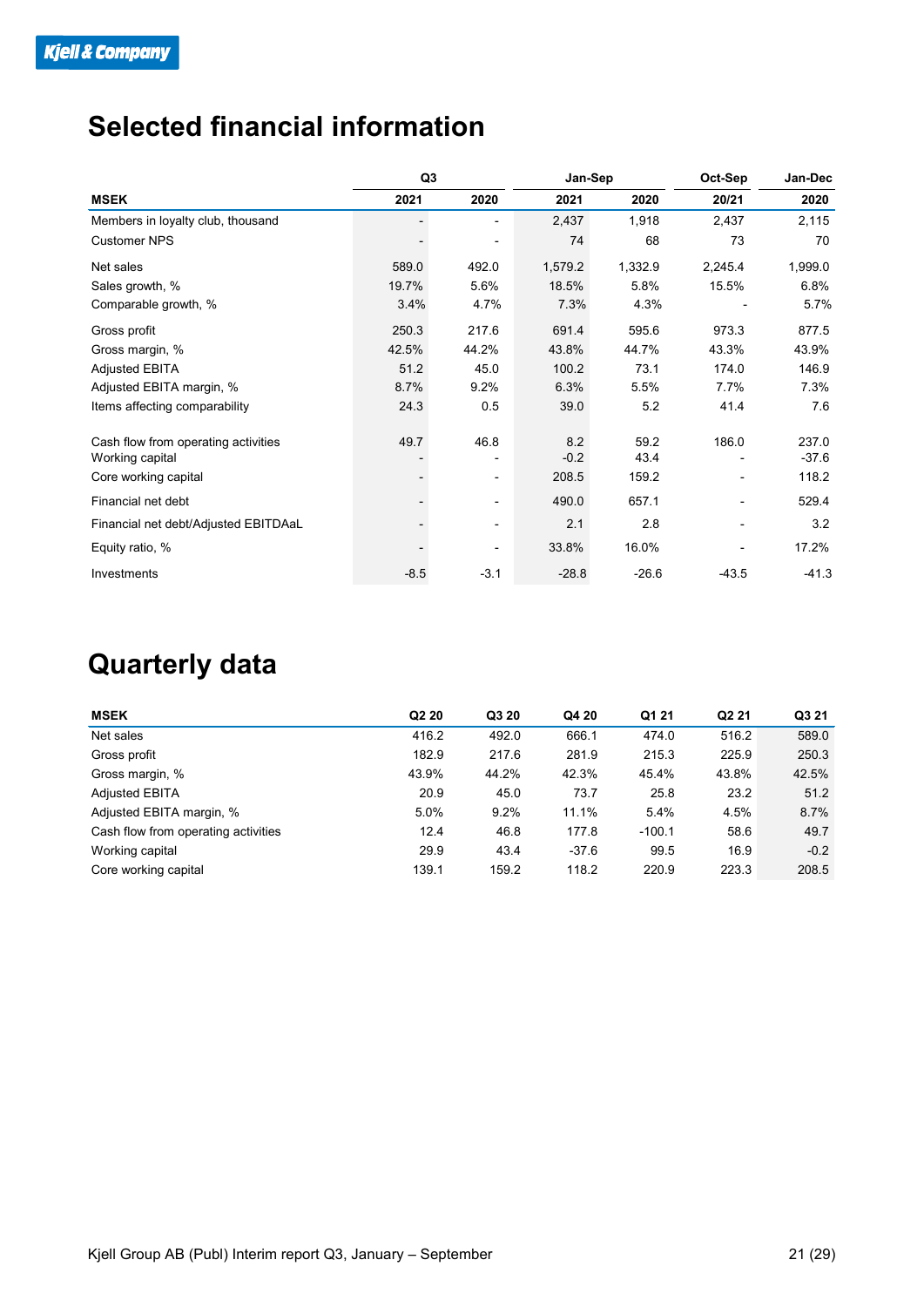### **Selected financial information**

|                                      | Q3     |                          | Jan-Sep |         | Oct-Sep                      | Jan-Dec |
|--------------------------------------|--------|--------------------------|---------|---------|------------------------------|---------|
| <b>MSEK</b>                          | 2021   | 2020                     | 2021    | 2020    | 20/21                        | 2020    |
| Members in loyalty club, thousand    |        | $\overline{\phantom{0}}$ | 2,437   | 1,918   | 2,437                        | 2,115   |
| <b>Customer NPS</b>                  |        |                          | 74      | 68      | 73                           | 70      |
| Net sales                            | 589.0  | 492.0                    | 1,579.2 | 1,332.9 | 2,245.4                      | 1,999.0 |
| Sales growth, %                      | 19.7%  | 5.6%                     | 18.5%   | 5.8%    | 15.5%                        | 6.8%    |
| Comparable growth, %                 | 3.4%   | 4.7%                     | 7.3%    | 4.3%    |                              | 5.7%    |
| Gross profit                         | 250.3  | 217.6                    | 691.4   | 595.6   | 973.3                        | 877.5   |
| Gross margin, %                      | 42.5%  | 44.2%                    | 43.8%   | 44.7%   | 43.3%                        | 43.9%   |
| <b>Adjusted EBITA</b>                | 51.2   | 45.0                     | 100.2   | 73.1    | 174.0                        | 146.9   |
| Adjusted EBITA margin, %             | 8.7%   | 9.2%                     | 6.3%    | 5.5%    | 7.7%                         | 7.3%    |
| Items affecting comparability        | 24.3   | 0.5                      | 39.0    | 5.2     | 41.4                         | 7.6     |
| Cash flow from operating activities  | 49.7   | 46.8                     | 8.2     | 59.2    | 186.0                        | 237.0   |
| Working capital                      |        |                          | $-0.2$  | 43.4    |                              | $-37.6$ |
| Core working capital                 |        | -                        | 208.5   | 159.2   | $\qquad \qquad \blacksquare$ | 118.2   |
| Financial net debt                   |        | -                        | 490.0   | 657.1   | $\overline{\phantom{0}}$     | 529.4   |
| Financial net debt/Adjusted EBITDAaL |        | ٠                        | 2.1     | 2.8     |                              | 3.2     |
| Equity ratio, %                      |        | ٠                        | 33.8%   | 16.0%   |                              | 17.2%   |
| Investments                          | $-8.5$ | $-3.1$                   | $-28.8$ | $-26.6$ | $-43.5$                      | $-41.3$ |

### **Quarterly data**

| <b>MSEK</b>                         | Q <sub>2</sub> 20 | Q3 20 | Q4 20   | Q1 21    | Q <sub>2</sub> 21 | Q3 21  |
|-------------------------------------|-------------------|-------|---------|----------|-------------------|--------|
| Net sales                           | 416.2             | 492.0 | 666.1   | 474.0    | 516.2             | 589.0  |
| Gross profit                        | 182.9             | 217.6 | 281.9   | 215.3    | 225.9             | 250.3  |
| Gross margin, %                     | 43.9%             | 44.2% | 42.3%   | 45.4%    | 43.8%             | 42.5%  |
| <b>Adjusted EBITA</b>               | 20.9              | 45.0  | 73.7    | 25.8     | 23.2              | 51.2   |
| Adjusted EBITA margin, %            | 5.0%              | 9.2%  | 11.1%   | 5.4%     | 4.5%              | 8.7%   |
| Cash flow from operating activities | 12.4              | 46.8  | 177.8   | $-100.1$ | 58.6              | 49.7   |
| Working capital                     | 29.9              | 43.4  | $-37.6$ | 99.5     | 16.9              | $-0.2$ |
| Core working capital                | 139.1             | 159.2 | 118.2   | 220.9    | 223.3             | 208.5  |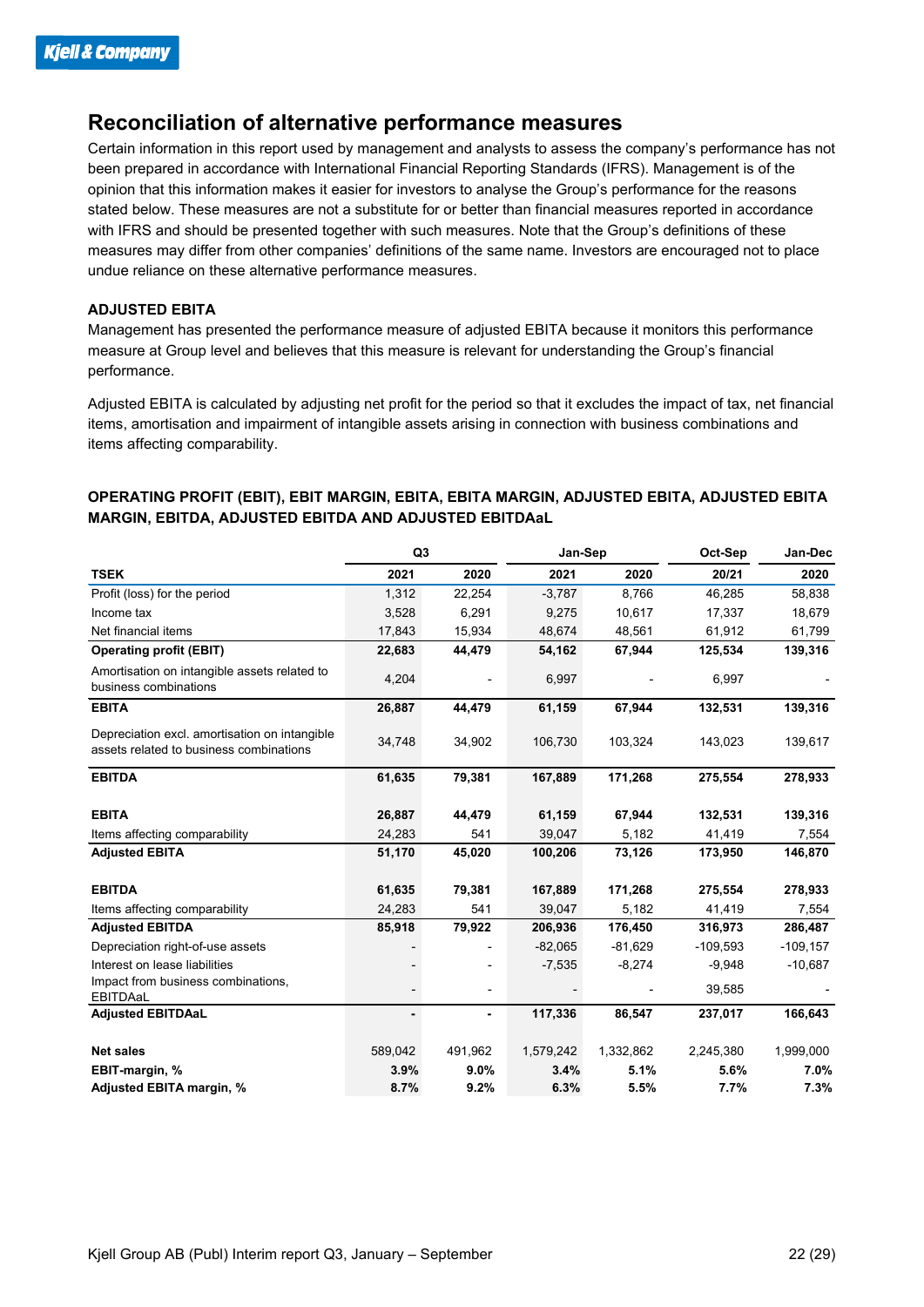#### **Reconciliation of alternative performance measures**

Certain information in this report used by management and analysts to assess the company's performance has not been prepared in accordance with International Financial Reporting Standards (IFRS). Management is of the opinion that this information makes it easier for investors to analyse the Group's performance for the reasons stated below. These measures are not a substitute for or better than financial measures reported in accordance with IFRS and should be presented together with such measures. Note that the Group's definitions of these measures may differ from other companies' definitions of the same name. Investors are encouraged not to place undue reliance on these alternative performance measures.

#### **ADJUSTED EBITA**

Management has presented the performance measure of adjusted EBITA because it monitors this performance measure at Group level and believes that this measure is relevant for understanding the Group's financial performance.

Adjusted EBITA is calculated by adjusting net profit for the period so that it excludes the impact of tax, net financial items, amortisation and impairment of intangible assets arising in connection with business combinations and items affecting comparability.

#### **OPERATING PROFIT (EBIT), EBIT MARGIN, EBITA, EBITA MARGIN, ADJUSTED EBITA, ADJUSTED EBITA MARGIN, EBITDA, ADJUSTED EBITDA AND ADJUSTED EBITDAaL**

|                                                                                          | Q <sub>3</sub> |                          | Jan-Sep   |           | Oct-Sep    | Jan-Dec     |  |
|------------------------------------------------------------------------------------------|----------------|--------------------------|-----------|-----------|------------|-------------|--|
| <b>TSEK</b>                                                                              | 2021           | 2020                     | 2021      | 2020      | 20/21      | 2020        |  |
| Profit (loss) for the period                                                             | 1,312          | 22,254                   | $-3,787$  | 8,766     | 46,285     | 58,838      |  |
| Income tax                                                                               | 3,528          | 6,291                    | 9,275     | 10,617    | 17,337     | 18,679      |  |
| Net financial items                                                                      | 17,843         | 15,934                   | 48,674    | 48,561    | 61,912     | 61,799      |  |
| <b>Operating profit (EBIT)</b>                                                           | 22,683         | 44,479                   | 54,162    | 67,944    | 125,534    | 139,316     |  |
| Amortisation on intangible assets related to<br>business combinations                    | 4,204          |                          | 6,997     |           | 6,997      |             |  |
| <b>EBITA</b>                                                                             | 26,887         | 44,479                   | 61,159    | 67,944    | 132,531    | 139,316     |  |
| Depreciation excl. amortisation on intangible<br>assets related to business combinations | 34,748         | 34,902                   | 106,730   | 103,324   | 143,023    | 139,617     |  |
| <b>EBITDA</b>                                                                            | 61,635         | 79,381                   | 167,889   | 171,268   | 275,554    | 278,933     |  |
| <b>EBITA</b>                                                                             | 26,887         | 44,479                   | 61,159    | 67,944    | 132,531    | 139,316     |  |
| Items affecting comparability                                                            | 24,283         | 541                      | 39,047    | 5,182     | 41,419     | 7,554       |  |
| <b>Adjusted EBITA</b>                                                                    | 51,170         | 45,020                   | 100,206   | 73,126    | 173,950    | 146,870     |  |
| <b>EBITDA</b>                                                                            | 61,635         | 79,381                   | 167,889   | 171,268   | 275,554    | 278,933     |  |
| Items affecting comparability                                                            | 24,283         | 541                      | 39,047    | 5,182     | 41,419     | 7,554       |  |
| <b>Adjusted EBITDA</b>                                                                   | 85,918         | 79,922                   | 206,936   | 176,450   | 316,973    | 286,487     |  |
| Depreciation right-of-use assets                                                         |                |                          | $-82,065$ | $-81,629$ | $-109,593$ | $-109, 157$ |  |
| Interest on lease liabilities                                                            |                |                          | $-7,535$  | $-8,274$  | $-9,948$   | $-10,687$   |  |
| Impact from business combinations,<br>EBITDAaL                                           |                | $\overline{\phantom{a}}$ |           |           | 39,585     |             |  |
| <b>Adjusted EBITDAaL</b>                                                                 | $\blacksquare$ | $\blacksquare$           | 117,336   | 86,547    | 237,017    | 166,643     |  |
| <b>Net sales</b>                                                                         | 589,042        | 491,962                  | 1,579,242 | 1,332,862 | 2,245,380  | 1,999,000   |  |
| EBIT-margin, %                                                                           | 3.9%           | 9.0%                     | 3.4%      | 5.1%      | 5.6%       | 7.0%        |  |
| Adjusted EBITA margin, %                                                                 | 8.7%           | 9.2%                     | 6.3%      | 5.5%      | 7.7%       | 7.3%        |  |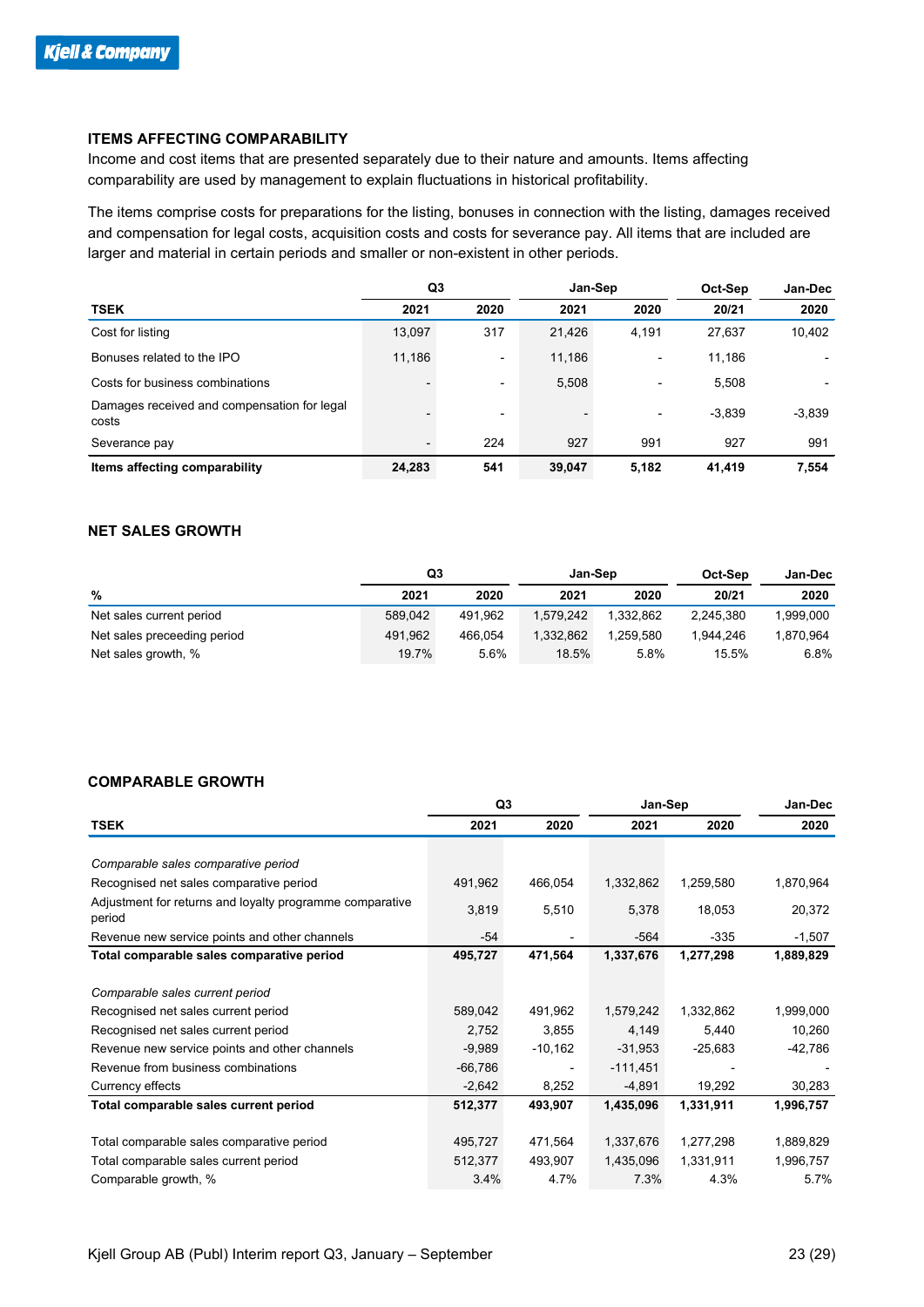#### **ITEMS AFFECTING COMPARABILITY**

Income and cost items that are presented separately due to their nature and amounts. Items affecting comparability are used by management to explain fluctuations in historical profitability.

The items comprise costs for preparations for the listing, bonuses in connection with the listing, damages received and compensation for legal costs, acquisition costs and costs for severance pay. All items that are included are larger and material in certain periods and smaller or non-existent in other periods.

|                                                      | Q <sub>3</sub> |                          | Jan-Sep |                          | Oct-Sep  | Jan-Dec  |
|------------------------------------------------------|----------------|--------------------------|---------|--------------------------|----------|----------|
| <b>TSEK</b>                                          | 2021           | 2020                     | 2021    | 2020                     | 20/21    | 2020     |
| Cost for listing                                     | 13,097         | 317                      | 21,426  | 4,191                    | 27,637   | 10,402   |
| Bonuses related to the IPO                           | 11,186         | $\blacksquare$           | 11,186  |                          | 11,186   |          |
| Costs for business combinations                      |                | $\overline{\phantom{a}}$ | 5,508   | $\overline{\phantom{0}}$ | 5,508    |          |
| Damages received and compensation for legal<br>costs |                | $\overline{\phantom{a}}$ |         |                          | $-3,839$ | $-3,839$ |
| Severance pay                                        |                | 224                      | 927     | 991                      | 927      | 991      |
| Items affecting comparability                        | 24,283         | 541                      | 39,047  | 5,182                    | 41,419   | 7,554    |

#### **NET SALES GROWTH**

|                             | Q3      |         | Jan-Sep   |           | Oct-Sep   | Jan-Dec   |
|-----------------------------|---------|---------|-----------|-----------|-----------|-----------|
| %                           | 2021    | 2020    | 2021      | 2020      | 20/21     | 2020      |
| Net sales current period    | 589.042 | 491.962 | 1.579.242 | 1.332.862 | 2.245.380 | 1.999.000 |
| Net sales preceeding period | 491.962 | 466.054 | 1.332.862 | 1.259.580 | 1.944.246 | 1.870.964 |
| Net sales growth, %         | 19.7%   | 5.6%    | 18.5%     | 5.8%      | 15.5%     | 6.8%      |

#### **COMPARABLE GROWTH**

|                                                                    |           | Q3        |            | Jan-Sep   |           |
|--------------------------------------------------------------------|-----------|-----------|------------|-----------|-----------|
| <b>TSEK</b>                                                        | 2021      | 2020      | 2021       | 2020      | 2020      |
|                                                                    |           |           |            |           |           |
| Comparable sales comparative period                                |           |           |            |           |           |
| Recognised net sales comparative period                            | 491,962   | 466,054   | 1,332,862  | 1,259,580 | 1,870,964 |
| Adjustment for returns and loyalty programme comparative<br>period | 3,819     | 5,510     | 5,378      | 18,053    | 20,372    |
| Revenue new service points and other channels                      | -54       |           | $-564$     | $-335$    | $-1,507$  |
| Total comparable sales comparative period                          | 495,727   | 471,564   | 1,337,676  | 1,277,298 | 1,889,829 |
|                                                                    |           |           |            |           |           |
| Comparable sales current period                                    |           |           |            |           |           |
| Recognised net sales current period                                | 589,042   | 491,962   | 1,579,242  | 1,332,862 | 1,999,000 |
| Recognised net sales current period                                | 2,752     | 3,855     | 4,149      | 5,440     | 10,260    |
| Revenue new service points and other channels                      | $-9,989$  | $-10,162$ | $-31,953$  | $-25,683$ | -42,786   |
| Revenue from business combinations                                 | $-66,786$ |           | $-111,451$ |           |           |
| Currency effects                                                   | $-2,642$  | 8,252     | $-4,891$   | 19,292    | 30,283    |
| Total comparable sales current period                              | 512,377   | 493,907   | 1,435,096  | 1,331,911 | 1,996,757 |
|                                                                    |           |           |            |           |           |
| Total comparable sales comparative period                          | 495,727   | 471,564   | 1,337,676  | 1,277,298 | 1,889,829 |
| Total comparable sales current period                              | 512,377   | 493,907   | 1,435,096  | 1,331,911 | 1,996,757 |
| Comparable growth, %                                               | 3.4%      | 4.7%      | 7.3%       | 4.3%      | 5.7%      |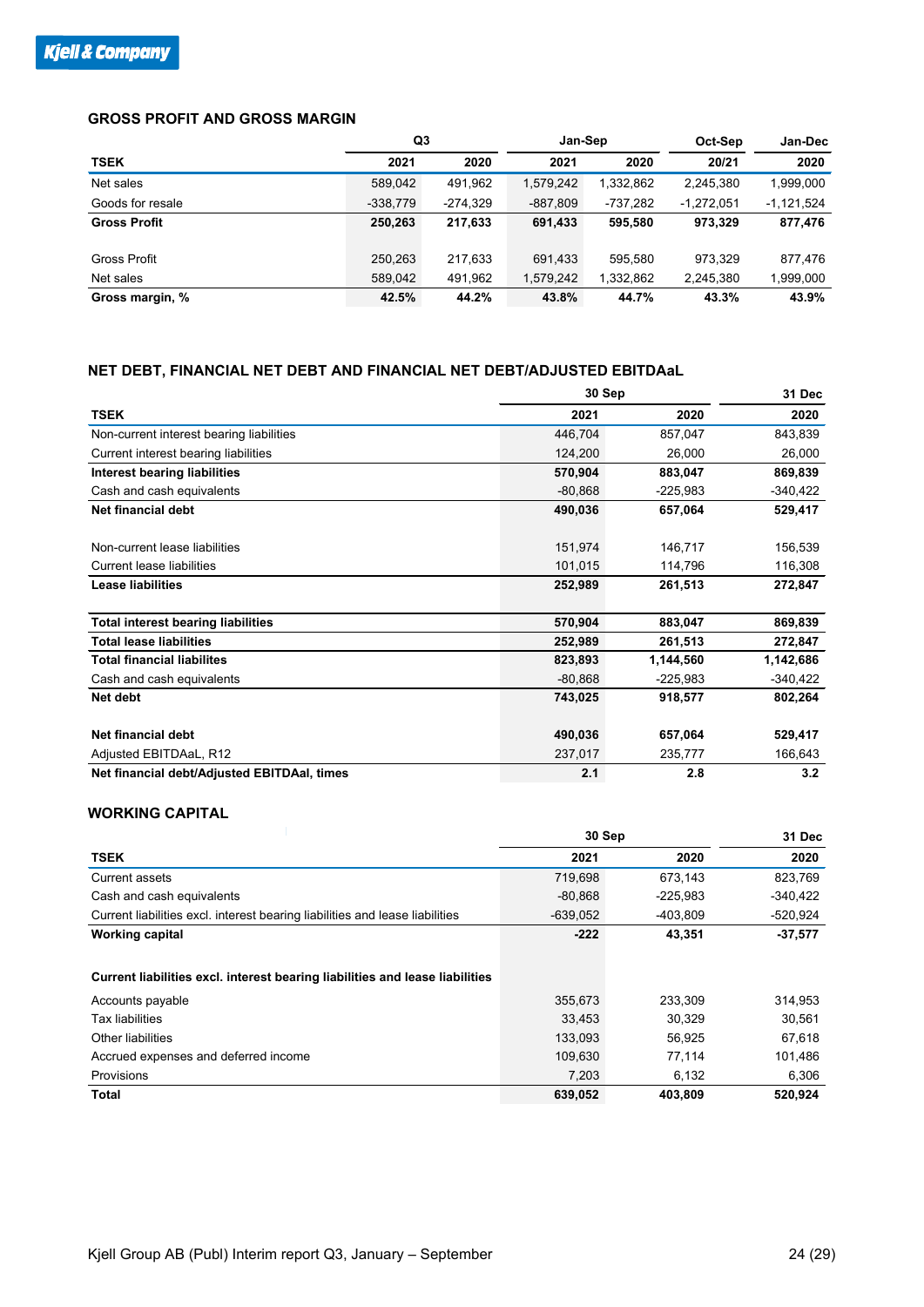#### **GROSS PROFIT AND GROSS MARGIN**

|                     | Q3         |            | Jan-Sep    |           | Oct-Sep      | <b>Jan-Dec</b> |
|---------------------|------------|------------|------------|-----------|--------------|----------------|
| <b>TSEK</b>         | 2021       | 2020       | 2021       | 2020      | 20/21        | 2020           |
| Net sales           | 589,042    | 491,962    | 1,579,242  | 1,332,862 | 2,245,380    | 1,999,000      |
| Goods for resale    | $-338,779$ | $-274,329$ | $-887,809$ | -737,282  | $-1,272,051$ | $-1,121,524$   |
| <b>Gross Profit</b> | 250.263    | 217,633    | 691.433    | 595.580   | 973.329      | 877,476        |
|                     |            |            |            |           |              |                |
| <b>Gross Profit</b> | 250.263    | 217.633    | 691.433    | 595.580   | 973.329      | 877.476        |
| Net sales           | 589,042    | 491,962    | 1,579,242  | 1,332,862 | 2,245,380    | 1,999,000      |
| Gross margin, %     | 42.5%      | 44.2%      | 43.8%      | 44.7%     | 43.3%        | 43.9%          |

#### **NET DEBT, FINANCIAL NET DEBT AND FINANCIAL NET DEBT/ADJUSTED EBITDAaL**

|                                             |           | 30 Sep     |           |  |  |  |
|---------------------------------------------|-----------|------------|-----------|--|--|--|
| <b>TSEK</b>                                 | 2021      | 2020       | 2020      |  |  |  |
| Non-current interest bearing liabilities    | 446,704   | 857,047    | 843,839   |  |  |  |
| Current interest bearing liabilities        | 124,200   | 26,000     | 26,000    |  |  |  |
| <b>Interest bearing liabilities</b>         | 570,904   | 883,047    | 869,839   |  |  |  |
| Cash and cash equivalents                   | $-80,868$ | $-225,983$ | -340,422  |  |  |  |
| <b>Net financial debt</b>                   | 490,036   | 657,064    | 529,417   |  |  |  |
| Non-current lease liabilities               | 151,974   | 146,717    | 156,539   |  |  |  |
| Current lease liabilities                   | 101,015   | 114,796    | 116,308   |  |  |  |
| <b>Lease liabilities</b>                    | 252,989   | 261,513    | 272,847   |  |  |  |
| <b>Total interest bearing liabilities</b>   | 570,904   | 883,047    | 869,839   |  |  |  |
| <b>Total lease liabilities</b>              | 252,989   | 261,513    | 272,847   |  |  |  |
| <b>Total financial liabilites</b>           | 823,893   | 1,144,560  | 1,142,686 |  |  |  |
| Cash and cash equivalents                   | $-80,868$ | $-225,983$ | -340,422  |  |  |  |
| Net debt                                    | 743,025   | 918,577    | 802,264   |  |  |  |
| Net financial debt                          | 490,036   | 657,064    | 529,417   |  |  |  |
| Adjusted EBITDAaL, R12                      | 237,017   | 235,777    | 166,643   |  |  |  |
| Net financial debt/Adjusted EBITDAal, times | 2.1       | 2.8        | 3.2       |  |  |  |

#### **WORKING CAPITAL**

|                                                                              | 30 Sep     | 31 Dec     |            |
|------------------------------------------------------------------------------|------------|------------|------------|
| <b>TSEK</b>                                                                  | 2021       | 2020       | 2020       |
| Current assets                                                               | 719,698    | 673,143    | 823,769    |
| Cash and cash equivalents                                                    | $-80.868$  | $-225,983$ | $-340,422$ |
| Current liabilities excl. interest bearing liabilities and lease liabilities | $-639,052$ | -403,809   | $-520.924$ |
| <b>Working capital</b>                                                       | $-222$     | 43,351     | $-37,577$  |
| Current liabilities excl. interest bearing liabilities and lease liabilities |            |            |            |
| Accounts payable                                                             | 355,673    | 233,309    | 314,953    |
| <b>Tax liabilities</b>                                                       | 33.453     | 30.329     | 30.561     |
| Other liabilities                                                            | 133,093    | 56,925     | 67,618     |
| Accrued expenses and deferred income                                         | 109.630    | 77,114     | 101,486    |
| Provisions                                                                   | 7,203      | 6,132      | 6,306      |
| Total                                                                        | 639,052    | 403,809    | 520,924    |

i.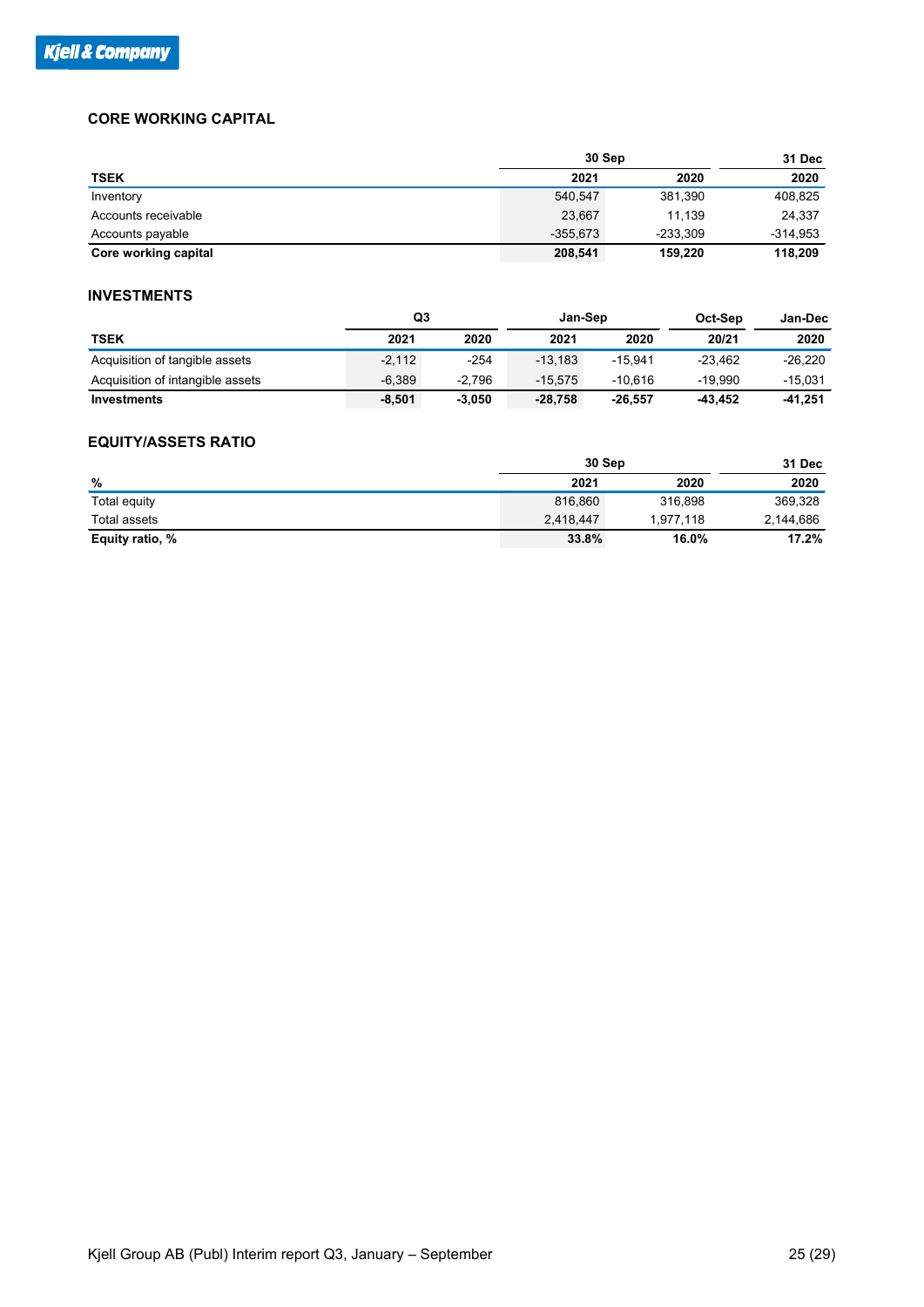#### **CORE WORKING CAPITAL**

|                      | 30 Sep     |            | 31 Dec     |
|----------------------|------------|------------|------------|
| <b>TSEK</b>          | 2021       | 2020       | 2020       |
| Inventory            | 540,547    | 381,390    | 408,825    |
| Accounts receivable  | 23,667     | 11.139     | 24,337     |
| Accounts payable     | $-355.673$ | $-233.309$ | $-314,953$ |
| Core working capital | 208,541    | 159,220    | 118,209    |

#### **INVESTMENTS**

|                                  |          | Q3       | Jan-Sep   |           | Oct-Sep   | Jan-Dec   |
|----------------------------------|----------|----------|-----------|-----------|-----------|-----------|
| <b>TSEK</b>                      | 2021     | 2020     | 2021      | 2020      | 20/21     | 2020      |
| Acquisition of tangible assets   | $-2.112$ | $-254$   | $-13.183$ | $-15.941$ | $-23.462$ | $-26.220$ |
| Acquisition of intangible assets | $-6.389$ | $-2.796$ | $-15.575$ | $-10.616$ | -19.990   | $-15.031$ |
| Investments                      | $-8.501$ | $-3.050$ | $-28.758$ | $-26.557$ | -43.452   | -41.251   |

#### **EQUITY/ASSETS RATIO**

|                 | 30 Sep    |           | 31 Dec    |
|-----------------|-----------|-----------|-----------|
| %               | 2021      | 2020      | 2020      |
| Total equity    | 816,860   | 316.898   | 369,328   |
| Total assets    | 2,418,447 | 1.977.118 | 2,144,686 |
| Equity ratio, % | 33.8%     | 16.0%     | 17.2%     |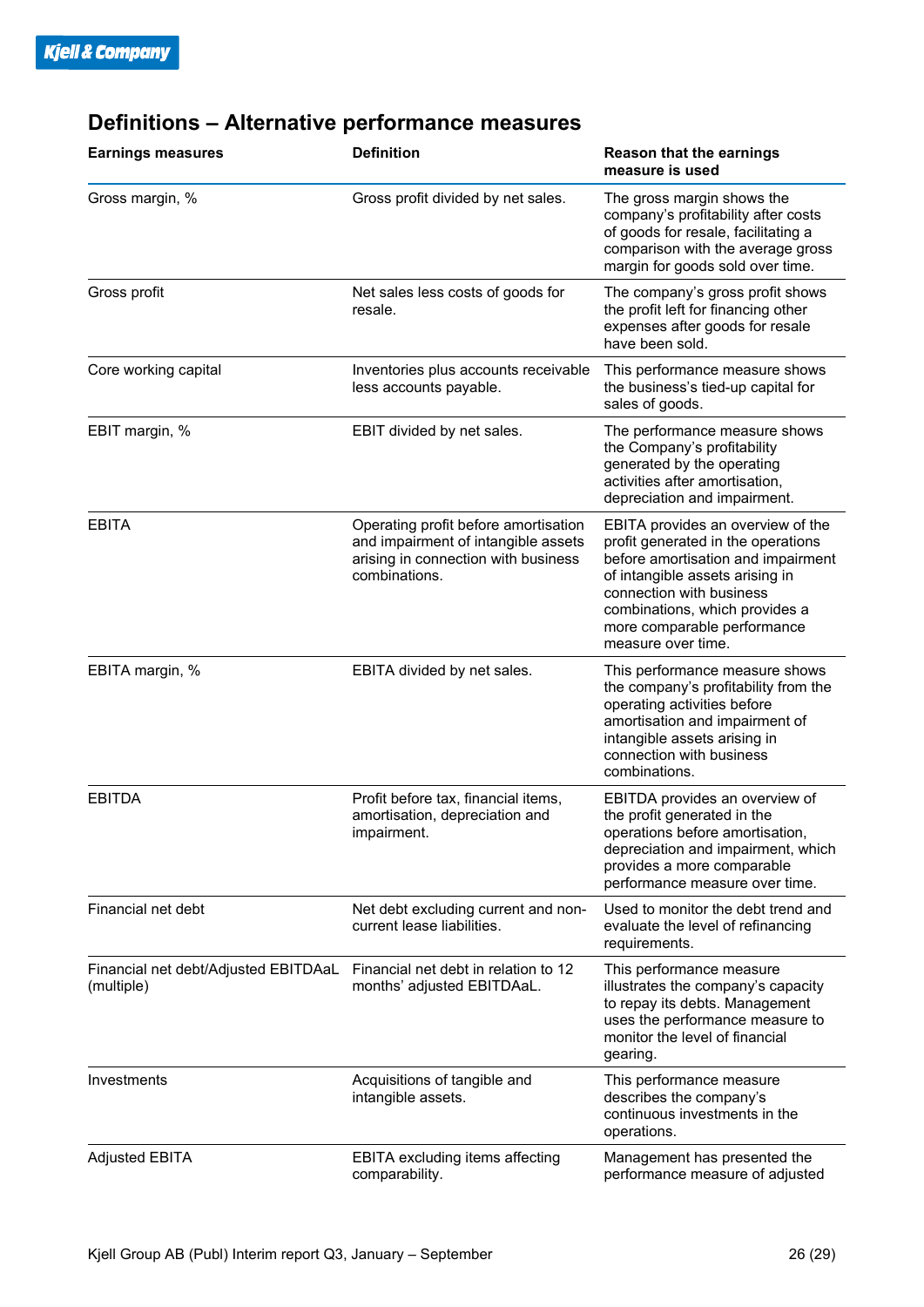| <b>Earnings measures</b>                           | <b>Definition</b>                                                                                                                   | <b>Reason that the earnings</b><br>measure is used                                                                                                                                                                                                                  |
|----------------------------------------------------|-------------------------------------------------------------------------------------------------------------------------------------|---------------------------------------------------------------------------------------------------------------------------------------------------------------------------------------------------------------------------------------------------------------------|
| Gross margin, %                                    | Gross profit divided by net sales.                                                                                                  | The gross margin shows the<br>company's profitability after costs<br>of goods for resale, facilitating a<br>comparison with the average gross<br>margin for goods sold over time.                                                                                   |
| Gross profit                                       | Net sales less costs of goods for<br>resale.                                                                                        | The company's gross profit shows<br>the profit left for financing other<br>expenses after goods for resale<br>have been sold.                                                                                                                                       |
| Core working capital                               | Inventories plus accounts receivable<br>less accounts payable.                                                                      | This performance measure shows<br>the business's tied-up capital for<br>sales of goods.                                                                                                                                                                             |
| EBIT margin, %                                     | EBIT divided by net sales.                                                                                                          | The performance measure shows<br>the Company's profitability<br>generated by the operating<br>activities after amortisation,<br>depreciation and impairment.                                                                                                        |
| <b>EBITA</b>                                       | Operating profit before amortisation<br>and impairment of intangible assets<br>arising in connection with business<br>combinations. | EBITA provides an overview of the<br>profit generated in the operations<br>before amortisation and impairment<br>of intangible assets arising in<br>connection with business<br>combinations, which provides a<br>more comparable performance<br>measure over time. |
| EBITA margin, %                                    | EBITA divided by net sales.                                                                                                         | This performance measure shows<br>the company's profitability from the<br>operating activities before<br>amortisation and impairment of<br>intangible assets arising in<br>connection with business<br>combinations.                                                |
| <b>EBITDA</b>                                      | Profit before tax, financial items,<br>amortisation, depreciation and<br>impairment.                                                | EBITDA provides an overview of<br>the profit generated in the<br>operations before amortisation,<br>depreciation and impairment, which<br>provides a more comparable<br>performance measure over time.                                                              |
| Financial net debt                                 | Net debt excluding current and non-<br>current lease liabilities.                                                                   | Used to monitor the debt trend and<br>evaluate the level of refinancing<br>requirements.                                                                                                                                                                            |
| Financial net debt/Adjusted EBITDAaL<br>(multiple) | Financial net debt in relation to 12<br>months' adjusted EBITDAaL.                                                                  | This performance measure<br>illustrates the company's capacity<br>to repay its debts. Management<br>uses the performance measure to<br>monitor the level of financial<br>gearing.                                                                                   |
| Investments                                        | Acquisitions of tangible and<br>intangible assets.                                                                                  | This performance measure<br>describes the company's<br>continuous investments in the<br>operations.                                                                                                                                                                 |
| <b>Adjusted EBITA</b>                              | <b>EBITA excluding items affecting</b><br>comparability.                                                                            | Management has presented the<br>performance measure of adjusted                                                                                                                                                                                                     |

### **Definitions – Alternative performance measures**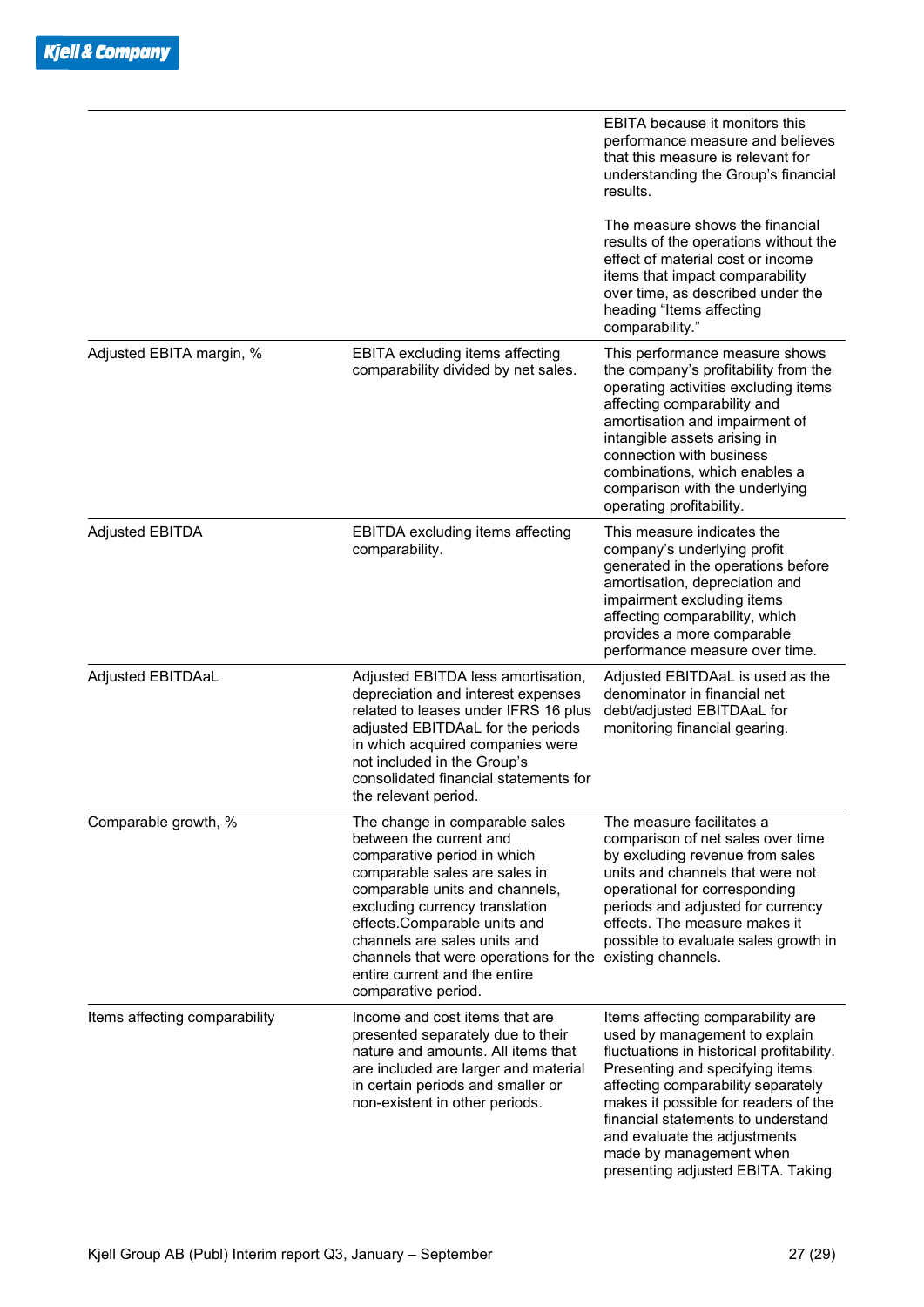|                               |                                                                                                                                                                                                                                                                                                                                                                                   | EBITA because it monitors this<br>performance measure and believes<br>that this measure is relevant for<br>understanding the Group's financial<br>results.                                                                                                                                                                                                             |
|-------------------------------|-----------------------------------------------------------------------------------------------------------------------------------------------------------------------------------------------------------------------------------------------------------------------------------------------------------------------------------------------------------------------------------|------------------------------------------------------------------------------------------------------------------------------------------------------------------------------------------------------------------------------------------------------------------------------------------------------------------------------------------------------------------------|
|                               |                                                                                                                                                                                                                                                                                                                                                                                   | The measure shows the financial<br>results of the operations without the<br>effect of material cost or income<br>items that impact comparability<br>over time, as described under the<br>heading "Items affecting<br>comparability."                                                                                                                                   |
| Adjusted EBITA margin, %      | EBITA excluding items affecting<br>comparability divided by net sales.                                                                                                                                                                                                                                                                                                            | This performance measure shows<br>the company's profitability from the<br>operating activities excluding items<br>affecting comparability and<br>amortisation and impairment of<br>intangible assets arising in<br>connection with business<br>combinations, which enables a<br>comparison with the underlying<br>operating profitability.                             |
| <b>Adjusted EBITDA</b>        | EBITDA excluding items affecting<br>comparability.                                                                                                                                                                                                                                                                                                                                | This measure indicates the<br>company's underlying profit<br>generated in the operations before<br>amortisation, depreciation and<br>impairment excluding items<br>affecting comparability, which<br>provides a more comparable<br>performance measure over time.                                                                                                      |
| Adjusted EBITDAaL             | Adjusted EBITDA less amortisation,<br>depreciation and interest expenses<br>related to leases under IFRS 16 plus<br>adjusted EBITDAaL for the periods<br>in which acquired companies were<br>not included in the Group's<br>consolidated financial statements for<br>the relevant period.                                                                                         | Adjusted EBITDAaL is used as the<br>denominator in financial net<br>debt/adjusted EBITDAaL for<br>monitoring financial gearing.                                                                                                                                                                                                                                        |
| Comparable growth, %          | The change in comparable sales<br>between the current and<br>comparative period in which<br>comparable sales are sales in<br>comparable units and channels,<br>excluding currency translation<br>effects.Comparable units and<br>channels are sales units and<br>channels that were operations for the existing channels.<br>entire current and the entire<br>comparative period. | The measure facilitates a<br>comparison of net sales over time<br>by excluding revenue from sales<br>units and channels that were not<br>operational for corresponding<br>periods and adjusted for currency<br>effects. The measure makes it<br>possible to evaluate sales growth in                                                                                   |
| Items affecting comparability | Income and cost items that are<br>presented separately due to their<br>nature and amounts. All items that<br>are included are larger and material<br>in certain periods and smaller or<br>non-existent in other periods.                                                                                                                                                          | Items affecting comparability are<br>used by management to explain<br>fluctuations in historical profitability.<br>Presenting and specifying items<br>affecting comparability separately<br>makes it possible for readers of the<br>financial statements to understand<br>and evaluate the adjustments<br>made by management when<br>presenting adjusted EBITA. Taking |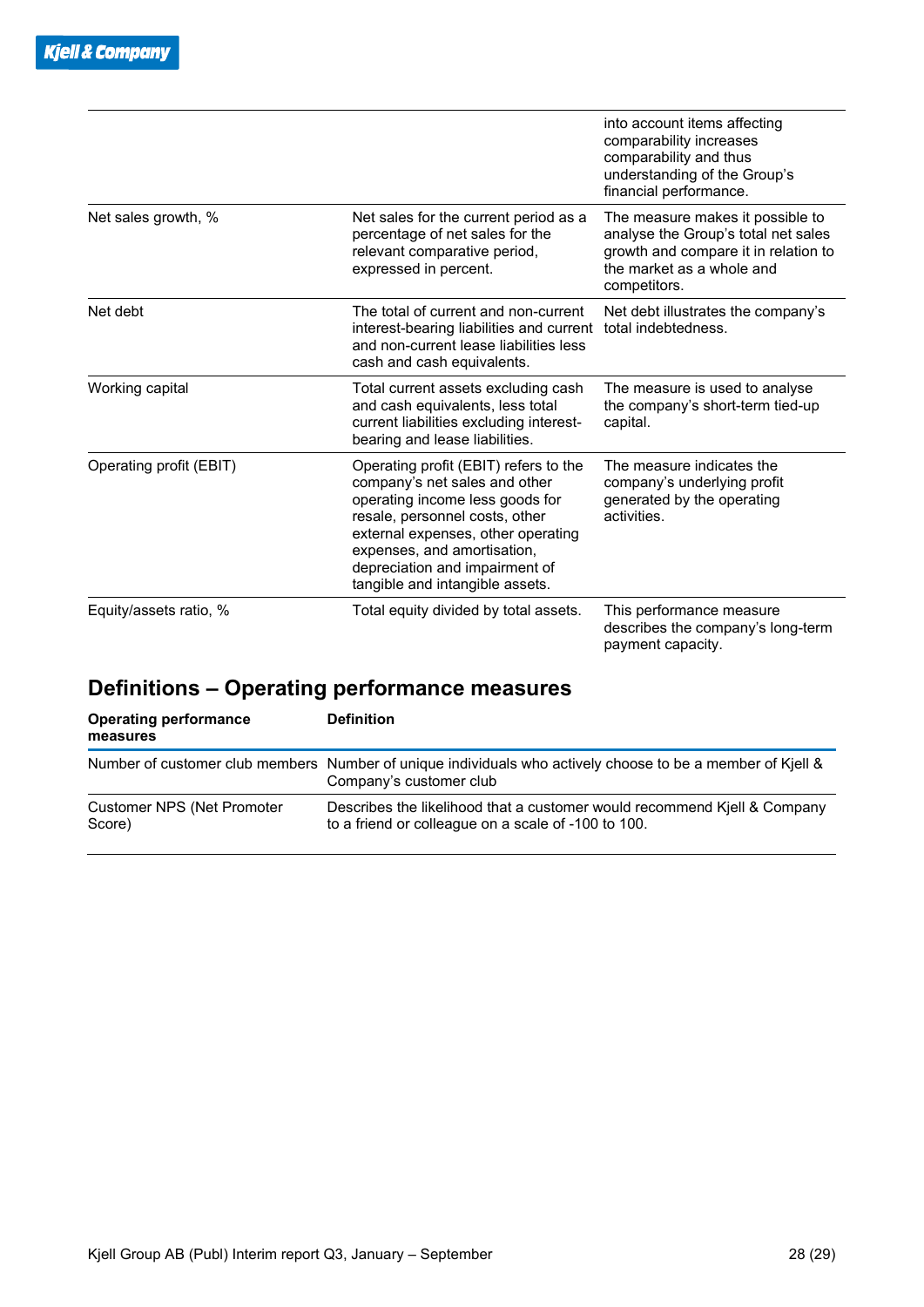|                         |                                                                                                                                                                                                                                                                                       | into account items affecting<br>comparability increases<br>comparability and thus<br>understanding of the Group's<br>financial performance.                  |
|-------------------------|---------------------------------------------------------------------------------------------------------------------------------------------------------------------------------------------------------------------------------------------------------------------------------------|--------------------------------------------------------------------------------------------------------------------------------------------------------------|
| Net sales growth, %     | Net sales for the current period as a<br>percentage of net sales for the<br>relevant comparative period,<br>expressed in percent.                                                                                                                                                     | The measure makes it possible to<br>analyse the Group's total net sales<br>growth and compare it in relation to<br>the market as a whole and<br>competitors. |
| Net debt                | The total of current and non-current<br>interest-bearing liabilities and current<br>and non-current lease liabilities less<br>cash and cash equivalents.                                                                                                                              | Net debt illustrates the company's<br>total indebtedness.                                                                                                    |
| Working capital         | Total current assets excluding cash<br>and cash equivalents, less total<br>current liabilities excluding interest-<br>bearing and lease liabilities.                                                                                                                                  | The measure is used to analyse<br>the company's short-term tied-up<br>capital.                                                                               |
| Operating profit (EBIT) | Operating profit (EBIT) refers to the<br>company's net sales and other<br>operating income less goods for<br>resale, personnel costs, other<br>external expenses, other operating<br>expenses, and amortisation,<br>depreciation and impairment of<br>tangible and intangible assets. | The measure indicates the<br>company's underlying profit<br>generated by the operating<br>activities.                                                        |
| Equity/assets ratio, %  | Total equity divided by total assets.                                                                                                                                                                                                                                                 | This performance measure<br>describes the company's long-term<br>payment capacity.                                                                           |

### **Definitions – Operating performance measures**

| <b>Operating performance</b><br>measures | <b>Definition</b>                                                                                                                     |
|------------------------------------------|---------------------------------------------------------------------------------------------------------------------------------------|
|                                          | Number of customer club members Number of unique individuals who actively choose to be a member of Kjell &<br>Company's customer club |
| Customer NPS (Net Promoter<br>Score)     | Describes the likelihood that a customer would recommend Kjell & Company<br>to a friend or colleague on a scale of -100 to 100.       |